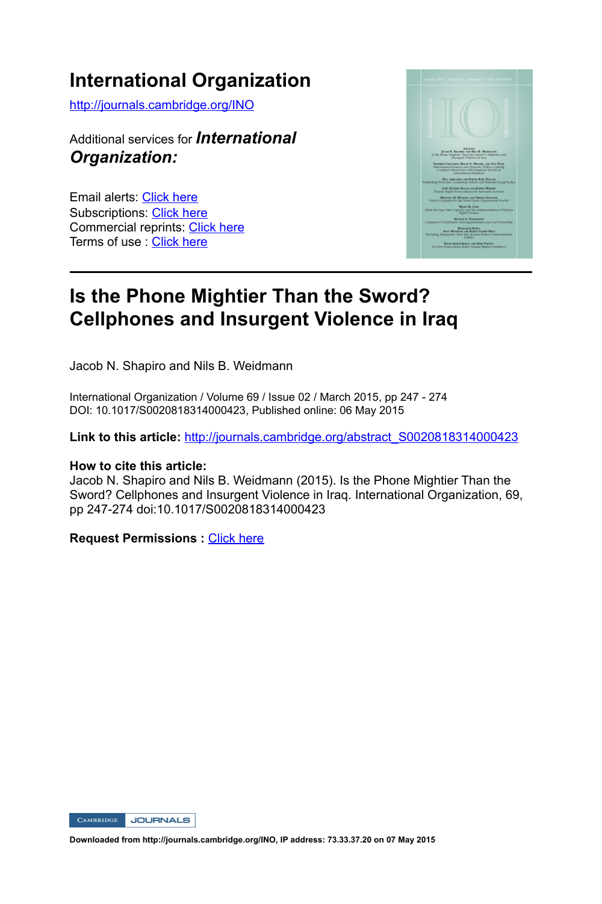# **International Organization**

http://journals.cambridge.org/INO

Additional services for *International Organization:*

Email alerts: Click here Subscriptions: Click here Commercial reprints: Click here Terms of use : Click here



# **Is the Phone Mightier Than the Sword? Cellphones and Insurgent Violence in Iraq**

Jacob N. Shapiro and Nils B. Weidmann

International Organization / Volume 69 / Issue 02 / March 2015, pp 247 - 274 DOI: 10.1017/S0020818314000423, Published online: 06 May 2015

**Link to this article:** http://journals.cambridge.org/abstract\_S0020818314000423

## **How to cite this article:**

Jacob N. Shapiro and Nils B. Weidmann (2015). Is the Phone Mightier Than the Sword? Cellphones and Insurgent Violence in Iraq. International Organization, 69, pp 247-274 doi:10.1017/S0020818314000423

## **Request Permissions :** Click here

CAMBRIDGE JOURNALS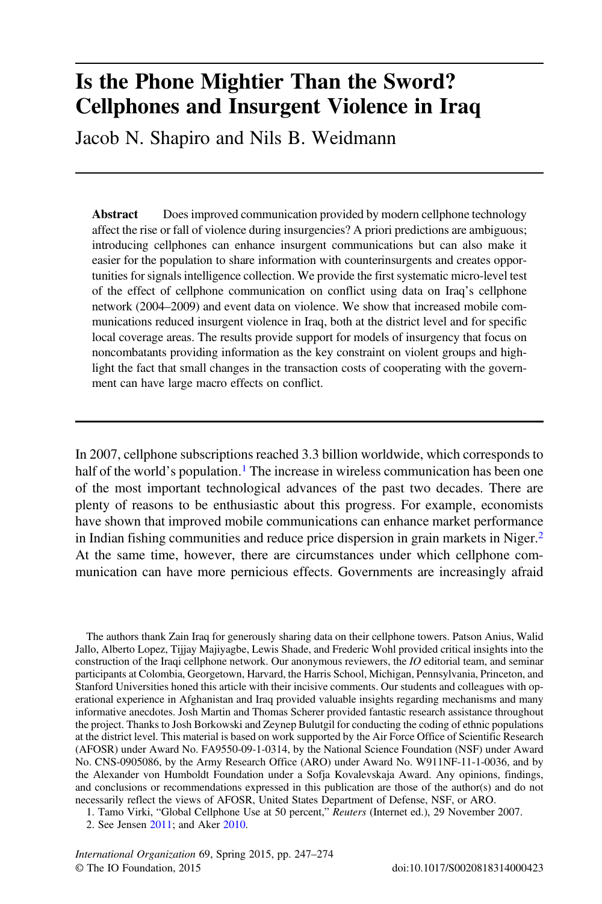# Is the Phone Mightier Than the Sword? Cellphones and Insurgent Violence in Iraq

Jacob N. Shapiro and Nils B. Weidmann

Abstract Does improved communication provided by modern cellphone technology affect the rise or fall of violence during insurgencies? A priori predictions are ambiguous; introducing cellphones can enhance insurgent communications but can also make it easier for the population to share information with counterinsurgents and creates opportunities for signals intelligence collection. We provide the first systematic micro-level test of the effect of cellphone communication on conflict using data on Iraq's cellphone network (2004–2009) and event data on violence. We show that increased mobile communications reduced insurgent violence in Iraq, both at the district level and for specific local coverage areas. The results provide support for models of insurgency that focus on noncombatants providing information as the key constraint on violent groups and highlight the fact that small changes in the transaction costs of cooperating with the government can have large macro effects on conflict.

In 2007, cellphone subscriptions reached 3.3 billion worldwide, which corresponds to half of the world's population.<sup>1</sup> The increase in wireless communication has been one of the most important technological advances of the past two decades. There are plenty of reasons to be enthusiastic about this progress. For example, economists have shown that improved mobile communications can enhance market performance in Indian fishing communities and reduce price dispersion in grain markets in Niger.<sup>2</sup> At the same time, however, there are circumstances under which cellphone communication can have more pernicious effects. Governments are increasingly afraid

The authors thank Zain Iraq for generously sharing data on their cellphone towers. Patson Anius, Walid Jallo, Alberto Lopez, Tijjay Majiyagbe, Lewis Shade, and Frederic Wohl provided critical insights into the construction of the Iraqi cellphone network. Our anonymous reviewers, the IO editorial team, and seminar participants at Colombia, Georgetown, Harvard, the Harris School, Michigan, Pennsylvania, Princeton, and Stanford Universities honed this article with their incisive comments. Our students and colleagues with operational experience in Afghanistan and Iraq provided valuable insights regarding mechanisms and many informative anecdotes. Josh Martin and Thomas Scherer provided fantastic research assistance throughout the project. Thanks to Josh Borkowski and Zeynep Bulutgil for conducting the coding of ethnic populations at the district level. This material is based on work supported by the Air Force Office of Scientific Research (AFOSR) under Award No. FA9550-09-1-0314, by the National Science Foundation (NSF) under Award No. CNS-0905086, by the Army Research Office (ARO) under Award No. W911NF-11-1-0036, and by the Alexander von Humboldt Foundation under a Sofja Kovalevskaja Award. Any opinions, findings, and conclusions or recommendations expressed in this publication are those of the author(s) and do not necessarily reflect the views of AFOSR, United States Department of Defense, NSF, or ARO.

<sup>1.</sup> Tamo Virki, "Global Cellphone Use at 50 percent," Reuters (Internet ed.), 29 November 2007.

<sup>2.</sup> See Jensen [2011;](#page-27-0) and Aker [2010](#page-26-0).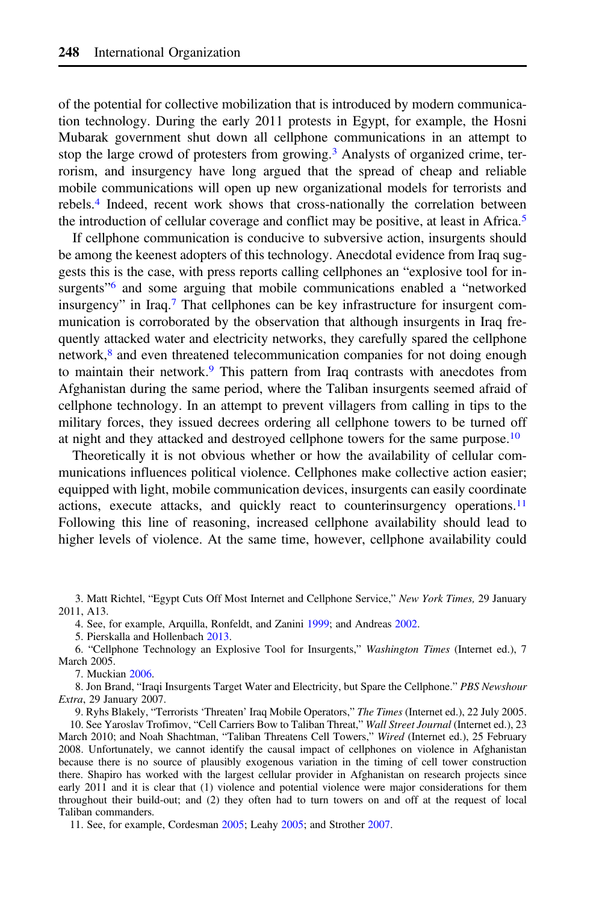of the potential for collective mobilization that is introduced by modern communication technology. During the early 2011 protests in Egypt, for example, the Hosni Mubarak government shut down all cellphone communications in an attempt to stop the large crowd of protesters from growing.<sup>3</sup> Analysts of organized crime, terrorism, and insurgency have long argued that the spread of cheap and reliable mobile communications will open up new organizational models for terrorists and rebels.<sup>4</sup> Indeed, recent work shows that cross-nationally the correlation between the introduction of cellular coverage and conflict may be positive, at least in Africa.<sup>5</sup>

If cellphone communication is conducive to subversive action, insurgents should be among the keenest adopters of this technology. Anecdotal evidence from Iraq suggests this is the case, with press reports calling cellphones an "explosive tool for insurgents<sup>"6</sup> and some arguing that mobile communications enabled a "networked" insurgency" in Iraq.<sup>7</sup> That cellphones can be key infrastructure for insurgent communication is corroborated by the observation that although insurgents in Iraq frequently attacked water and electricity networks, they carefully spared the cellphone network,<sup>8</sup> and even threatened telecommunication companies for not doing enough to maintain their network.<sup>9</sup> This pattern from Iraq contrasts with anecdotes from Afghanistan during the same period, where the Taliban insurgents seemed afraid of cellphone technology. In an attempt to prevent villagers from calling in tips to the military forces, they issued decrees ordering all cellphone towers to be turned off at night and they attacked and destroyed cellphone towers for the same purpose.<sup>10</sup>

Theoretically it is not obvious whether or how the availability of cellular communications influences political violence. Cellphones make collective action easier; equipped with light, mobile communication devices, insurgents can easily coordinate actions, execute attacks, and quickly react to counterinsurgency operations.<sup>11</sup> Following this line of reasoning, increased cellphone availability should lead to higher levels of violence. At the same time, however, cellphone availability could

3. Matt Richtel, "Egypt Cuts Off Most Internet and Cellphone Service," New York Times, 29 January 2011, A13.

4. See, for example, Arquilla, Ronfeldt, and Zanini [1999](#page-26-0); and Andreas [2002](#page-26-0).

5. Pierskalla and Hollenbach [2013](#page-27-0).

6. "Cellphone Technology an Explosive Tool for Insurgents," Washington Times (Internet ed.), 7 March 2005.

7. Muckian [2006.](#page-27-0)

8. Jon Brand, "Iraqi Insurgents Target Water and Electricity, but Spare the Cellphone." PBS Newshour Extra, 29 January 2007.

9. Ryhs Blakely, "Terrorists 'Threaten' Iraq Mobile Operators," The Times (Internet ed.), 22 July 2005. 10. See Yaroslav Trofimov, "Cell Carriers Bow to Taliban Threat," Wall Street Journal (Internet ed.), 23 March 2010; and Noah Shachtman, "Taliban Threatens Cell Towers," Wired (Internet ed.), 25 February 2008. Unfortunately, we cannot identify the causal impact of cellphones on violence in Afghanistan because there is no source of plausibly exogenous variation in the timing of cell tower construction there. Shapiro has worked with the largest cellular provider in Afghanistan on research projects since early 2011 and it is clear that (1) violence and potential violence were major considerations for them throughout their build-out; and (2) they often had to turn towers on and off at the request of local Taliban commanders.

11. See, for example, Cordesman [2005](#page-27-0); Leahy [2005;](#page-27-0) and Strother [2007](#page-27-0).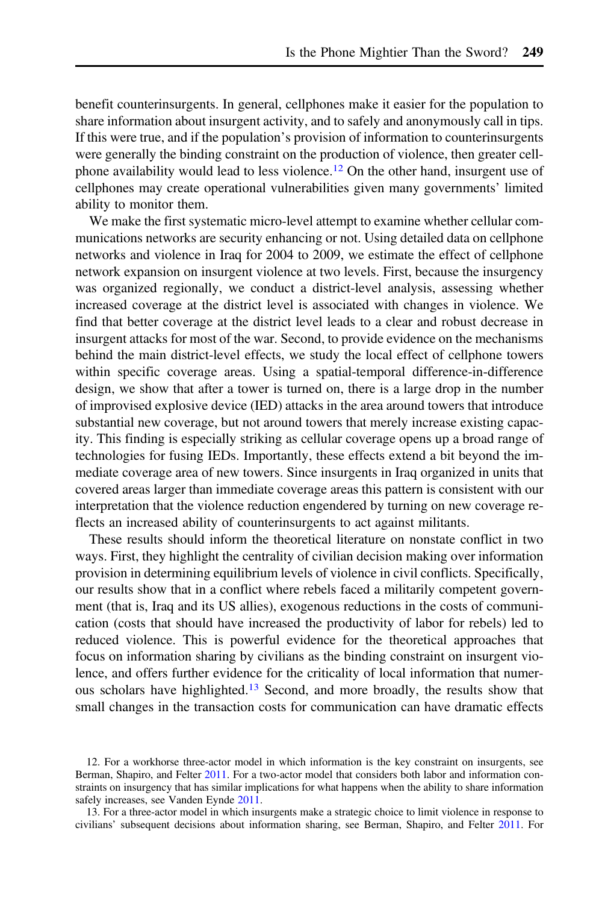benefit counterinsurgents. In general, cellphones make it easier for the population to share information about insurgent activity, and to safely and anonymously call in tips. If this were true, and if the population's provision of information to counterinsurgents were generally the binding constraint on the production of violence, then greater cellphone availability would lead to less violence.<sup>12</sup> On the other hand, insurgent use of cellphones may create operational vulnerabilities given many governments' limited ability to monitor them.

We make the first systematic micro-level attempt to examine whether cellular communications networks are security enhancing or not. Using detailed data on cellphone networks and violence in Iraq for 2004 to 2009, we estimate the effect of cellphone network expansion on insurgent violence at two levels. First, because the insurgency was organized regionally, we conduct a district-level analysis, assessing whether increased coverage at the district level is associated with changes in violence. We find that better coverage at the district level leads to a clear and robust decrease in insurgent attacks for most of the war. Second, to provide evidence on the mechanisms behind the main district-level effects, we study the local effect of cellphone towers within specific coverage areas. Using a spatial-temporal difference-in-difference design, we show that after a tower is turned on, there is a large drop in the number of improvised explosive device (IED) attacks in the area around towers that introduce substantial new coverage, but not around towers that merely increase existing capacity. This finding is especially striking as cellular coverage opens up a broad range of technologies for fusing IEDs. Importantly, these effects extend a bit beyond the immediate coverage area of new towers. Since insurgents in Iraq organized in units that covered areas larger than immediate coverage areas this pattern is consistent with our interpretation that the violence reduction engendered by turning on new coverage reflects an increased ability of counterinsurgents to act against militants.

These results should inform the theoretical literature on nonstate conflict in two ways. First, they highlight the centrality of civilian decision making over information provision in determining equilibrium levels of violence in civil conflicts. Specifically, our results show that in a conflict where rebels faced a militarily competent government (that is, Iraq and its US allies), exogenous reductions in the costs of communication (costs that should have increased the productivity of labor for rebels) led to reduced violence. This is powerful evidence for the theoretical approaches that focus on information sharing by civilians as the binding constraint on insurgent violence, and offers further evidence for the criticality of local information that numerous scholars have highlighted.<sup>13</sup> Second, and more broadly, the results show that small changes in the transaction costs for communication can have dramatic effects

<sup>12.</sup> For a workhorse three-actor model in which information is the key constraint on insurgents, see Berman, Shapiro, and Felter [2011.](#page-27-0) For a two-actor model that considers both labor and information constraints on insurgency that has similar implications for what happens when the ability to share information safely increases, see Vanden Eynde [2011.](#page-28-0)

<sup>13.</sup> For a three-actor model in which insurgents make a strategic choice to limit violence in response to civilians' subsequent decisions about information sharing, see Berman, Shapiro, and Felter [2011.](#page-27-0) For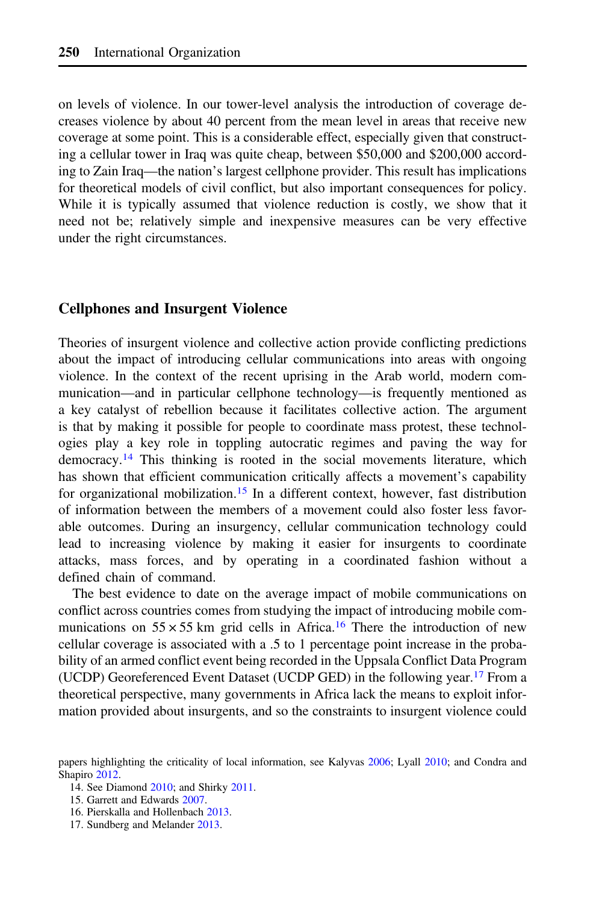on levels of violence. In our tower-level analysis the introduction of coverage decreases violence by about 40 percent from the mean level in areas that receive new coverage at some point. This is a considerable effect, especially given that constructing a cellular tower in Iraq was quite cheap, between \$50,000 and \$200,000 according to Zain Iraq—the nation's largest cellphone provider. This result has implications for theoretical models of civil conflict, but also important consequences for policy. While it is typically assumed that violence reduction is costly, we show that it need not be; relatively simple and inexpensive measures can be very effective under the right circumstances.

# Cellphones and Insurgent Violence

Theories of insurgent violence and collective action provide conflicting predictions about the impact of introducing cellular communications into areas with ongoing violence. In the context of the recent uprising in the Arab world, modern communication—and in particular cellphone technology—is frequently mentioned as a key catalyst of rebellion because it facilitates collective action. The argument is that by making it possible for people to coordinate mass protest, these technologies play a key role in toppling autocratic regimes and paving the way for democracy.<sup>14</sup> This thinking is rooted in the social movements literature, which has shown that efficient communication critically affects a movement's capability for organizational mobilization.<sup>15</sup> In a different context, however, fast distribution of information between the members of a movement could also foster less favorable outcomes. During an insurgency, cellular communication technology could lead to increasing violence by making it easier for insurgents to coordinate attacks, mass forces, and by operating in a coordinated fashion without a defined chain of command.

The best evidence to date on the average impact of mobile communications on conflict across countries comes from studying the impact of introducing mobile communications on  $55 \times 55$  km grid cells in Africa.<sup>16</sup> There the introduction of new cellular coverage is associated with a .5 to 1 percentage point increase in the probability of an armed conflict event being recorded in the Uppsala Conflict Data Program (UCDP) Georeferenced Event Dataset (UCDP GED) in the following year.<sup>17</sup> From a theoretical perspective, many governments in Africa lack the means to exploit information provided about insurgents, and so the constraints to insurgent violence could

- 16. Pierskalla and Hollenbach [2013](#page-27-0).
- 17. Sundberg and Melander [2013.](#page-27-0)

papers highlighting the criticality of local information, see Kalyvas [2006](#page-27-0); Lyall [2010;](#page-27-0) and Condra and Shapiro [2012.](#page-27-0)

<sup>14.</sup> See Diamond [2010;](#page-27-0) and Shirky [2011.](#page-27-0)

<sup>15.</sup> Garrett and Edwards [2007.](#page-27-0)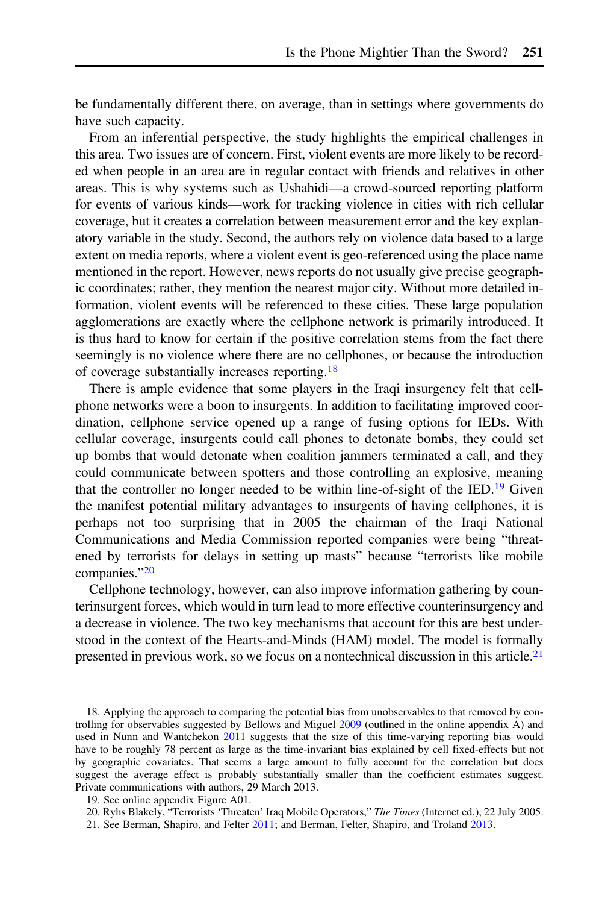be fundamentally different there, on average, than in settings where governments do have such capacity.

From an inferential perspective, the study highlights the empirical challenges in this area. Two issues are of concern. First, violent events are more likely to be recorded when people in an area are in regular contact with friends and relatives in other areas. This is why systems such as Ushahidi—a crowd-sourced reporting platform for events of various kinds—work for tracking violence in cities with rich cellular coverage, but it creates a correlation between measurement error and the key explanatory variable in the study. Second, the authors rely on violence data based to a large extent on media reports, where a violent event is geo-referenced using the place name mentioned in the report. However, news reports do not usually give precise geographic coordinates; rather, they mention the nearest major city. Without more detailed information, violent events will be referenced to these cities. These large population agglomerations are exactly where the cellphone network is primarily introduced. It is thus hard to know for certain if the positive correlation stems from the fact there seemingly is no violence where there are no cellphones, or because the introduction of coverage substantially increases reporting.<sup>18</sup>

There is ample evidence that some players in the Iraqi insurgency felt that cellphone networks were a boon to insurgents. In addition to facilitating improved coordination, cellphone service opened up a range of fusing options for IEDs. With cellular coverage, insurgents could call phones to detonate bombs, they could set up bombs that would detonate when coalition jammers terminated a call, and they could communicate between spotters and those controlling an explosive, meaning that the controller no longer needed to be within line-of-sight of the IED.<sup>19</sup> Given the manifest potential military advantages to insurgents of having cellphones, it is perhaps not too surprising that in 2005 the chairman of the Iraqi National Communications and Media Commission reported companies were being "threatened by terrorists for delays in setting up masts" because "terrorists like mobile companies."<sup>20</sup>

Cellphone technology, however, can also improve information gathering by counterinsurgent forces, which would in turn lead to more effective counterinsurgency and a decrease in violence. The two key mechanisms that account for this are best understood in the context of the Hearts-and-Minds (HAM) model. The model is formally presented in previous work, so we focus on a nontechnical discussion in this article.<sup>21</sup>

18. Applying the approach to comparing the potential bias from unobservables to that removed by controlling for observables suggested by Bellows and Miguel [2009](#page-26-0) (outlined in the online appendix A) and used in Nunn and Wantchekon [2011](#page-27-0) suggests that the size of this time-varying reporting bias would have to be roughly 78 percent as large as the time-invariant bias explained by cell fixed-effects but not by geographic covariates. That seems a large amount to fully account for the correlation but does suggest the average effect is probably substantially smaller than the coefficient estimates suggest. Private communications with authors, 29 March 2013.

19. See online appendix Figure A01.

20. Ryhs Blakely, "Terrorists 'Threaten' Iraq Mobile Operators," The Times (Internet ed.), 22 July 2005.

21. See Berman, Shapiro, and Felter [2011](#page-27-0); and Berman, Felter, Shapiro, and Troland [2013.](#page-27-0)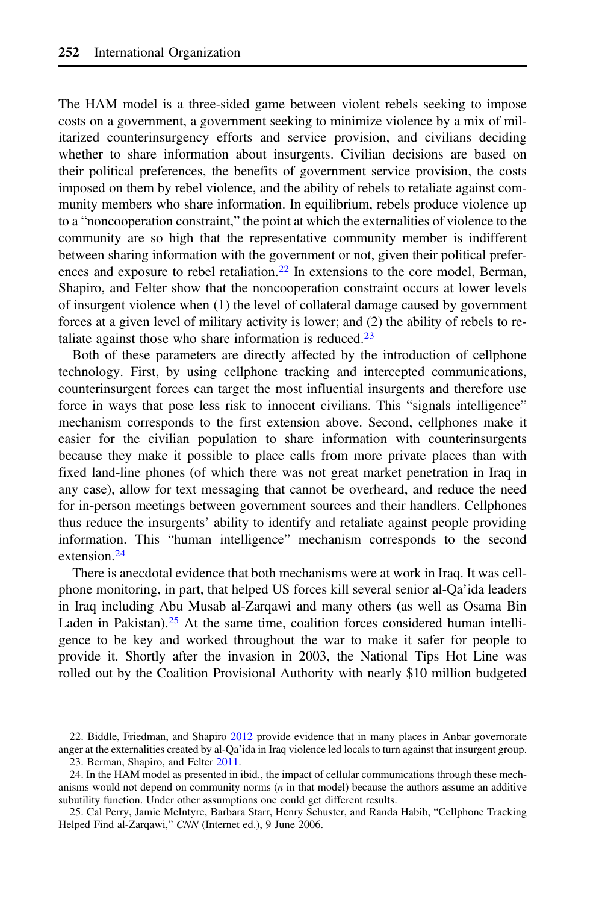The HAM model is a three-sided game between violent rebels seeking to impose costs on a government, a government seeking to minimize violence by a mix of militarized counterinsurgency efforts and service provision, and civilians deciding whether to share information about insurgents. Civilian decisions are based on their political preferences, the benefits of government service provision, the costs imposed on them by rebel violence, and the ability of rebels to retaliate against community members who share information. In equilibrium, rebels produce violence up to a "noncooperation constraint," the point at which the externalities of violence to the community are so high that the representative community member is indifferent between sharing information with the government or not, given their political preferences and exposure to rebel retaliation.<sup>22</sup> In extensions to the core model, Berman, Shapiro, and Felter show that the noncooperation constraint occurs at lower levels of insurgent violence when (1) the level of collateral damage caused by government forces at a given level of military activity is lower; and (2) the ability of rebels to retaliate against those who share information is reduced. $23$ 

Both of these parameters are directly affected by the introduction of cellphone technology. First, by using cellphone tracking and intercepted communications, counterinsurgent forces can target the most influential insurgents and therefore use force in ways that pose less risk to innocent civilians. This "signals intelligence" mechanism corresponds to the first extension above. Second, cellphones make it easier for the civilian population to share information with counterinsurgents because they make it possible to place calls from more private places than with fixed land-line phones (of which there was not great market penetration in Iraq in any case), allow for text messaging that cannot be overheard, and reduce the need for in-person meetings between government sources and their handlers. Cellphones thus reduce the insurgents' ability to identify and retaliate against people providing information. This "human intelligence" mechanism corresponds to the second extension.<sup>24</sup>

There is anecdotal evidence that both mechanisms were at work in Iraq. It was cellphone monitoring, in part, that helped US forces kill several senior al-Qa'ida leaders in Iraq including Abu Musab al-Zarqawi and many others (as well as Osama Bin Laden in Pakistan).<sup>25</sup> At the same time, coalition forces considered human intelligence to be key and worked throughout the war to make it safer for people to provide it. Shortly after the invasion in 2003, the National Tips Hot Line was rolled out by the Coalition Provisional Authority with nearly \$10 million budgeted

<sup>22.</sup> Biddle, Friedman, and Shapiro [2012](#page-27-0) provide evidence that in many places in Anbar governorate anger at the externalities created by al-Qa'ida in Iraq violence led locals to turn against that insurgent group.

<sup>23.</sup> Berman, Shapiro, and Felter [2011](#page-27-0).

<sup>24.</sup> In the HAM model as presented in ibid., the impact of cellular communications through these mechanisms would not depend on community norms  $(n$  in that model) because the authors assume an additive subutility function. Under other assumptions one could get different results.

<sup>25.</sup> Cal Perry, Jamie McIntyre, Barbara Starr, Henry Schuster, and Randa Habib, "Cellphone Tracking Helped Find al-Zarqawi," CNN (Internet ed.), 9 June 2006.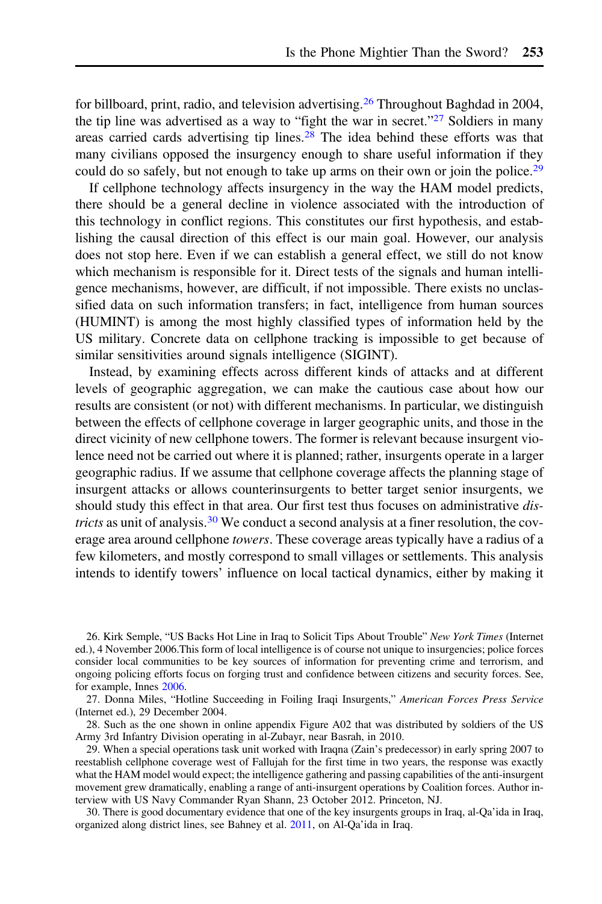for billboard, print, radio, and television advertising.<sup>26</sup> Throughout Baghdad in 2004, the tip line was advertised as a way to "fight the war in secret." $27$  Soldiers in many areas carried cards advertising tip lines. $2<sup>8</sup>$  The idea behind these efforts was that many civilians opposed the insurgency enough to share useful information if they could do so safely, but not enough to take up arms on their own or join the police.<sup>29</sup>

If cellphone technology affects insurgency in the way the HAM model predicts, there should be a general decline in violence associated with the introduction of this technology in conflict regions. This constitutes our first hypothesis, and establishing the causal direction of this effect is our main goal. However, our analysis does not stop here. Even if we can establish a general effect, we still do not know which mechanism is responsible for it. Direct tests of the signals and human intelligence mechanisms, however, are difficult, if not impossible. There exists no unclassified data on such information transfers; in fact, intelligence from human sources (HUMINT) is among the most highly classified types of information held by the US military. Concrete data on cellphone tracking is impossible to get because of similar sensitivities around signals intelligence (SIGINT).

Instead, by examining effects across different kinds of attacks and at different levels of geographic aggregation, we can make the cautious case about how our results are consistent (or not) with different mechanisms. In particular, we distinguish between the effects of cellphone coverage in larger geographic units, and those in the direct vicinity of new cellphone towers. The former is relevant because insurgent violence need not be carried out where it is planned; rather, insurgents operate in a larger geographic radius. If we assume that cellphone coverage affects the planning stage of insurgent attacks or allows counterinsurgents to better target senior insurgents, we should study this effect in that area. Our first test thus focuses on administrative districts as unit of analysis.<sup>30</sup> We conduct a second analysis at a finer resolution, the coverage area around cellphone *towers*. These coverage areas typically have a radius of a few kilometers, and mostly correspond to small villages or settlements. This analysis intends to identify towers' influence on local tactical dynamics, either by making it

26. Kirk Semple, "US Backs Hot Line in Iraq to Solicit Tips About Trouble" New York Times (Internet ed.), 4 November 2006.This form of local intelligence is of course not unique to insurgencies; police forces consider local communities to be key sources of information for preventing crime and terrorism, and ongoing policing efforts focus on forging trust and confidence between citizens and security forces. See, for example, Innes [2006](#page-27-0).

27. Donna Miles, "Hotline Succeeding in Foiling Iraqi Insurgents," American Forces Press Service (Internet ed.), 29 December 2004.

28. Such as the one shown in online appendix Figure A02 that was distributed by soldiers of the US Army 3rd Infantry Division operating in al-Zubayr, near Basrah, in 2010.

29. When a special operations task unit worked with Iraqna (Zain's predecessor) in early spring 2007 to reestablish cellphone coverage west of Fallujah for the first time in two years, the response was exactly what the HAM model would expect; the intelligence gathering and passing capabilities of the anti-insurgent movement grew dramatically, enabling a range of anti-insurgent operations by Coalition forces. Author interview with US Navy Commander Ryan Shann, 23 October 2012. Princeton, NJ.

30. There is good documentary evidence that one of the key insurgents groups in Iraq, al-Qa'ida in Iraq, organized along district lines, see Bahney et al. [2011](#page-26-0), on Al-Qa'ida in Iraq.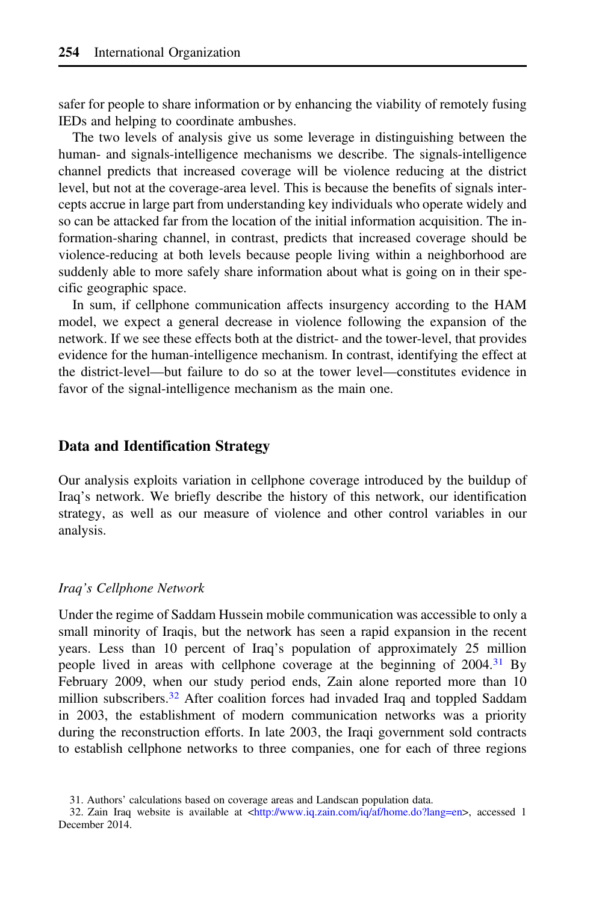safer for people to share information or by enhancing the viability of remotely fusing IEDs and helping to coordinate ambushes.

The two levels of analysis give us some leverage in distinguishing between the human- and signals-intelligence mechanisms we describe. The signals-intelligence channel predicts that increased coverage will be violence reducing at the district level, but not at the coverage-area level. This is because the benefits of signals intercepts accrue in large part from understanding key individuals who operate widely and so can be attacked far from the location of the initial information acquisition. The information-sharing channel, in contrast, predicts that increased coverage should be violence-reducing at both levels because people living within a neighborhood are suddenly able to more safely share information about what is going on in their specific geographic space.

In sum, if cellphone communication affects insurgency according to the HAM model, we expect a general decrease in violence following the expansion of the network. If we see these effects both at the district- and the tower-level, that provides evidence for the human-intelligence mechanism. In contrast, identifying the effect at the district-level—but failure to do so at the tower level—constitutes evidence in favor of the signal-intelligence mechanism as the main one.

# Data and Identification Strategy

Our analysis exploits variation in cellphone coverage introduced by the buildup of Iraq's network. We briefly describe the history of this network, our identification strategy, as well as our measure of violence and other control variables in our analysis.

### Iraq's Cellphone Network

Under the regime of Saddam Hussein mobile communication was accessible to only a small minority of Iraqis, but the network has seen a rapid expansion in the recent years. Less than 10 percent of Iraq's population of approximately 25 million people lived in areas with cellphone coverage at the beginning of  $2004<sup>31</sup>$  By February 2009, when our study period ends, Zain alone reported more than 10 million subscribers.<sup>32</sup> After coalition forces had invaded Iraq and toppled Saddam in 2003, the establishment of modern communication networks was a priority during the reconstruction efforts. In late 2003, the Iraqi government sold contracts to establish cellphone networks to three companies, one for each of three regions

<sup>31.</sup> Authors' calculations based on coverage areas and Landscan population data.

<sup>32.</sup> Zain Iraq website is available at [<http://www.iq.zain.com/iq/af/home.do?lang=en>](http://www.iq.zain.com/iq/af/home.do?lang=en), accessed 1 December 2014.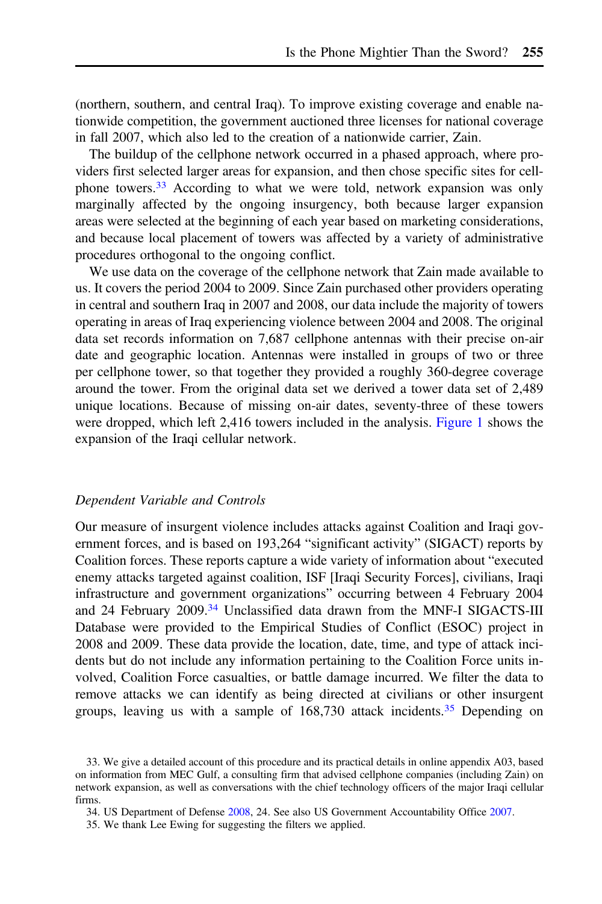(northern, southern, and central Iraq). To improve existing coverage and enable nationwide competition, the government auctioned three licenses for national coverage in fall 2007, which also led to the creation of a nationwide carrier, Zain.

The buildup of the cellphone network occurred in a phased approach, where providers first selected larger areas for expansion, and then chose specific sites for cellphone towers.<sup>33</sup> According to what we were told, network expansion was only marginally affected by the ongoing insurgency, both because larger expansion areas were selected at the beginning of each year based on marketing considerations, and because local placement of towers was affected by a variety of administrative procedures orthogonal to the ongoing conflict.

We use data on the coverage of the cellphone network that Zain made available to us. It covers the period 2004 to 2009. Since Zain purchased other providers operating in central and southern Iraq in 2007 and 2008, our data include the majority of towers operating in areas of Iraq experiencing violence between 2004 and 2008. The original data set records information on 7,687 cellphone antennas with their precise on-air date and geographic location. Antennas were installed in groups of two or three per cellphone tower, so that together they provided a roughly 360-degree coverage around the tower. From the original data set we derived a tower data set of 2,489 unique locations. Because of missing on-air dates, seventy-three of these towers were dropped, which left 2,416 towers included in the analysis. [Figure 1](#page-10-0) shows the expansion of the Iraqi cellular network.

### Dependent Variable and Controls

Our measure of insurgent violence includes attacks against Coalition and Iraqi government forces, and is based on 193,264 "significant activity" (SIGACT) reports by Coalition forces. These reports capture a wide variety of information about "executed enemy attacks targeted against coalition, ISF [Iraqi Security Forces], civilians, Iraqi infrastructure and government organizations" occurring between 4 February 2004 and 24 February 2009.<sup>34</sup> Unclassified data drawn from the MNF-I SIGACTS-III Database were provided to the Empirical Studies of Conflict (ESOC) project in 2008 and 2009. These data provide the location, date, time, and type of attack incidents but do not include any information pertaining to the Coalition Force units involved, Coalition Force casualties, or battle damage incurred. We filter the data to remove attacks we can identify as being directed at civilians or other insurgent groups, leaving us with a sample of  $168,730$  attack incidents.<sup>35</sup> Depending on

<sup>33.</sup> We give a detailed account of this procedure and its practical details in online appendix A03, based on information from MEC Gulf, a consulting firm that advised cellphone companies (including Zain) on network expansion, as well as conversations with the chief technology officers of the major Iraqi cellular firms.

<sup>34.</sup> US Department of Defense [2008,](#page-27-0) 24. See also US Government Accountability Office [2007](#page-27-0).

<sup>35.</sup> We thank Lee Ewing for suggesting the filters we applied.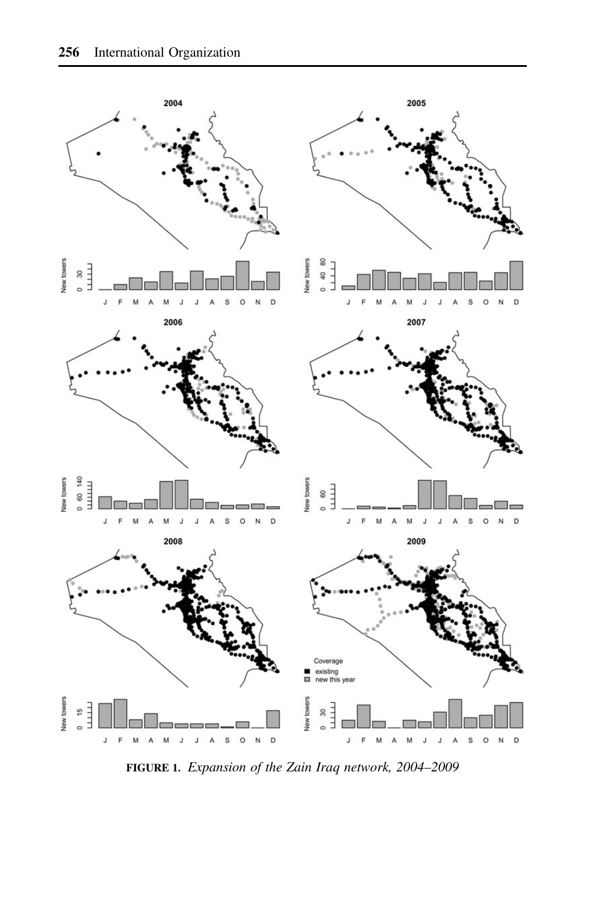<span id="page-10-0"></span>

FIGURE 1. Expansion of the Zain Iraq network, 2004–2009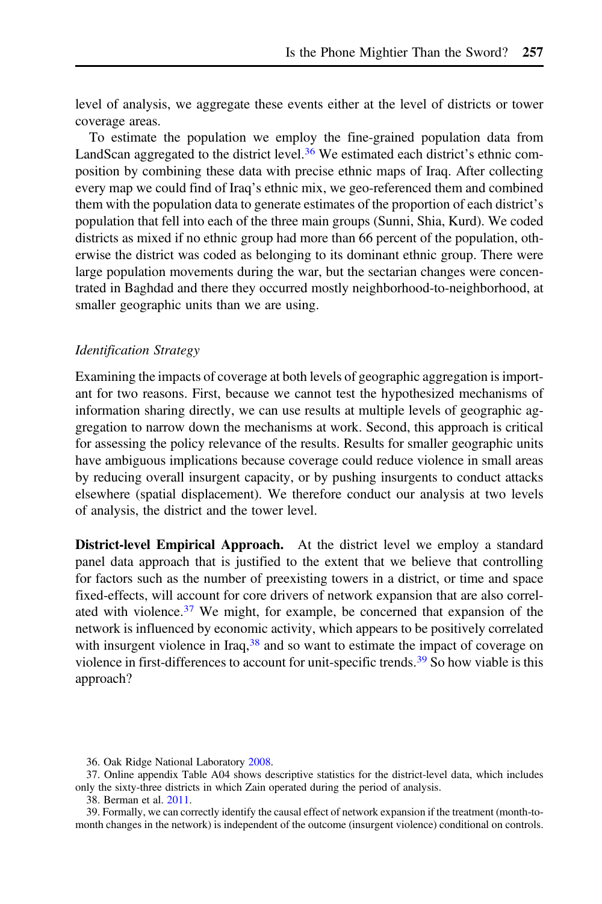level of analysis, we aggregate these events either at the level of districts or tower coverage areas.

To estimate the population we employ the fine-grained population data from LandScan aggregated to the district level.<sup>36</sup> We estimated each district's ethnic composition by combining these data with precise ethnic maps of Iraq. After collecting every map we could find of Iraq's ethnic mix, we geo-referenced them and combined them with the population data to generate estimates of the proportion of each district's population that fell into each of the three main groups (Sunni, Shia, Kurd). We coded districts as mixed if no ethnic group had more than 66 percent of the population, otherwise the district was coded as belonging to its dominant ethnic group. There were large population movements during the war, but the sectarian changes were concentrated in Baghdad and there they occurred mostly neighborhood-to-neighborhood, at smaller geographic units than we are using.

## Identification Strategy

Examining the impacts of coverage at both levels of geographic aggregation is important for two reasons. First, because we cannot test the hypothesized mechanisms of information sharing directly, we can use results at multiple levels of geographic aggregation to narrow down the mechanisms at work. Second, this approach is critical for assessing the policy relevance of the results. Results for smaller geographic units have ambiguous implications because coverage could reduce violence in small areas by reducing overall insurgent capacity, or by pushing insurgents to conduct attacks elsewhere (spatial displacement). We therefore conduct our analysis at two levels of analysis, the district and the tower level.

**District-level Empirical Approach.** At the district level we employ a standard panel data approach that is justified to the extent that we believe that controlling for factors such as the number of preexisting towers in a district, or time and space fixed-effects, will account for core drivers of network expansion that are also correlated with violence.<sup>37</sup> We might, for example, be concerned that expansion of the network is influenced by economic activity, which appears to be positively correlated with insurgent violence in Iraq,<sup>38</sup> and so want to estimate the impact of coverage on violence in first-differences to account for unit-specific trends.<sup>39</sup> So how viable is this approach?

39. Formally, we can correctly identify the causal effect of network expansion if the treatment (month-tomonth changes in the network) is independent of the outcome (insurgent violence) conditional on controls.

<sup>36.</sup> Oak Ridge National Laboratory [2008](#page-27-0).

<sup>37.</sup> Online appendix Table A04 shows descriptive statistics for the district-level data, which includes only the sixty-three districts in which Zain operated during the period of analysis.

<sup>38.</sup> Berman et al. [2011.](#page-27-0)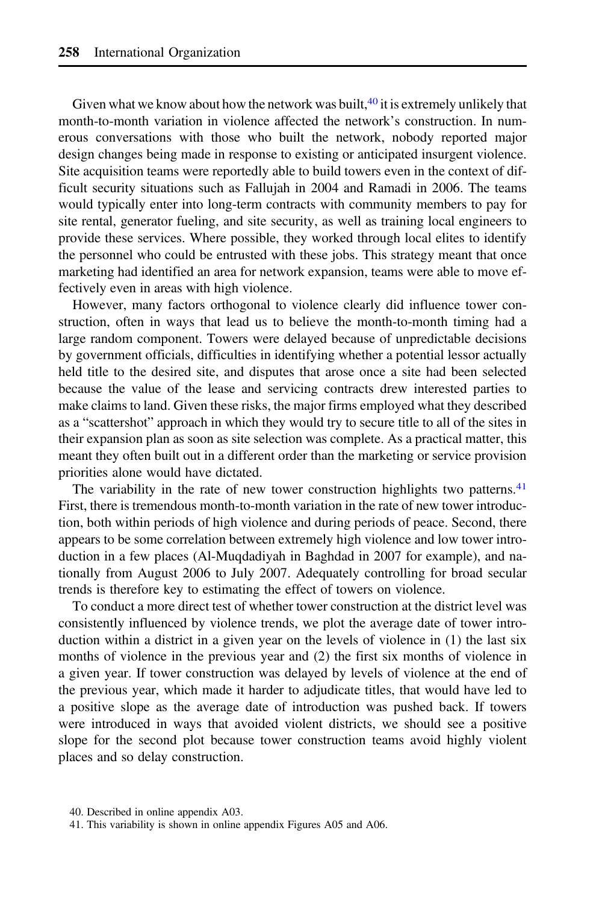Given what we know about how the network was built,  $40$  it is extremely unlikely that month-to-month variation in violence affected the network's construction. In numerous conversations with those who built the network, nobody reported major design changes being made in response to existing or anticipated insurgent violence. Site acquisition teams were reportedly able to build towers even in the context of difficult security situations such as Fallujah in 2004 and Ramadi in 2006. The teams would typically enter into long-term contracts with community members to pay for site rental, generator fueling, and site security, as well as training local engineers to provide these services. Where possible, they worked through local elites to identify the personnel who could be entrusted with these jobs. This strategy meant that once marketing had identified an area for network expansion, teams were able to move effectively even in areas with high violence.

However, many factors orthogonal to violence clearly did influence tower construction, often in ways that lead us to believe the month-to-month timing had a large random component. Towers were delayed because of unpredictable decisions by government officials, difficulties in identifying whether a potential lessor actually held title to the desired site, and disputes that arose once a site had been selected because the value of the lease and servicing contracts drew interested parties to make claims to land. Given these risks, the major firms employed what they described as a "scattershot" approach in which they would try to secure title to all of the sites in their expansion plan as soon as site selection was complete. As a practical matter, this meant they often built out in a different order than the marketing or service provision priorities alone would have dictated.

The variability in the rate of new tower construction highlights two patterns.<sup>41</sup> First, there is tremendous month-to-month variation in the rate of new tower introduction, both within periods of high violence and during periods of peace. Second, there appears to be some correlation between extremely high violence and low tower introduction in a few places (Al-Muqdadiyah in Baghdad in 2007 for example), and nationally from August 2006 to July 2007. Adequately controlling for broad secular trends is therefore key to estimating the effect of towers on violence.

To conduct a more direct test of whether tower construction at the district level was consistently influenced by violence trends, we plot the average date of tower introduction within a district in a given year on the levels of violence in (1) the last six months of violence in the previous year and (2) the first six months of violence in a given year. If tower construction was delayed by levels of violence at the end of the previous year, which made it harder to adjudicate titles, that would have led to a positive slope as the average date of introduction was pushed back. If towers were introduced in ways that avoided violent districts, we should see a positive slope for the second plot because tower construction teams avoid highly violent places and so delay construction.

<sup>40.</sup> Described in online appendix A03.

<sup>41.</sup> This variability is shown in online appendix Figures A05 and A06.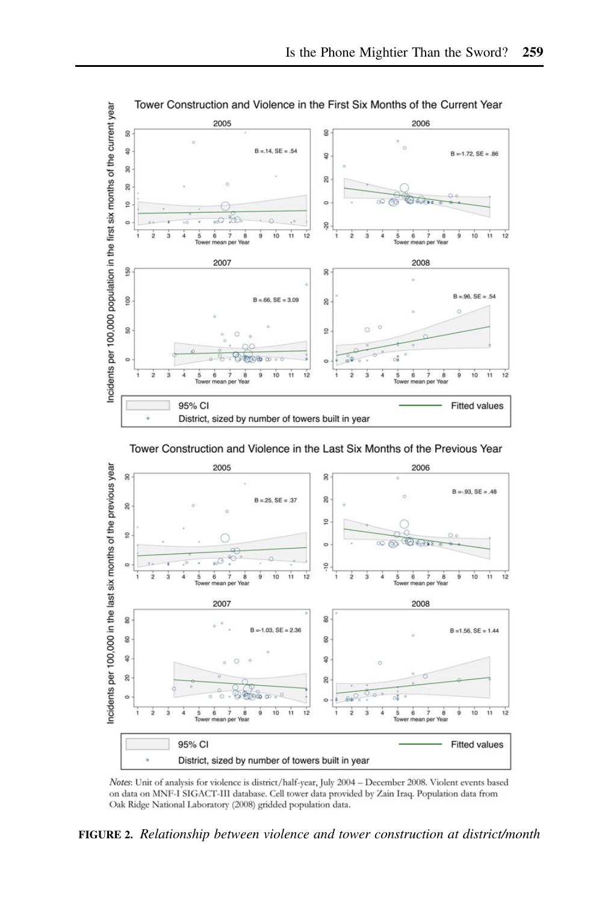<span id="page-13-0"></span>

Tower Construction and Violence in the Last Six Months of the Previous Year



Notes: Unit of analysis for violence is district/half-year, July 2004 - December 2008. Violent events based on data on MNF-I SIGACT-III database. Cell tower data provided by Zain Iraq. Population data from Oak Ridge National Laboratory (2008) gridded population data.

FIGURE 2. Relationship between violence and tower construction at district/month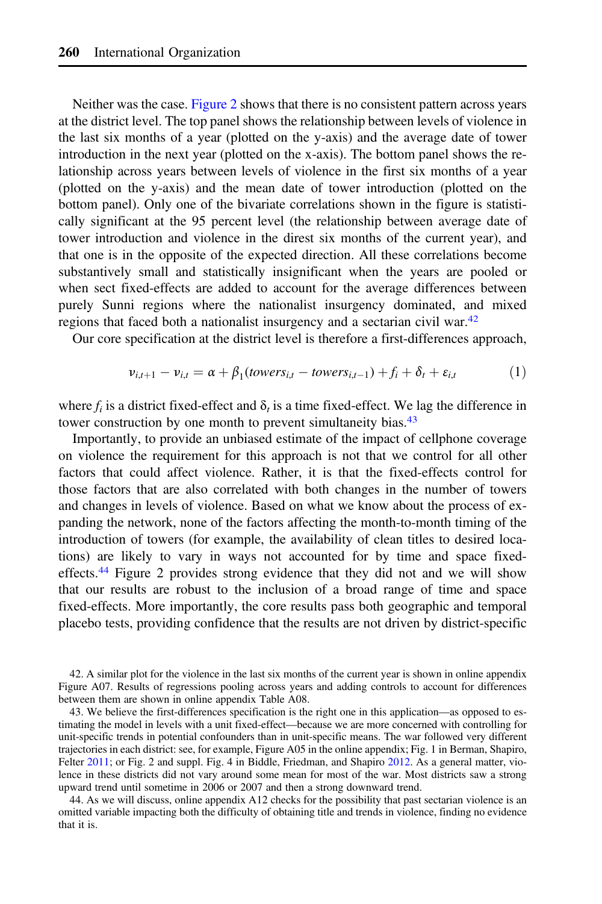Neither was the case. [Figure 2](#page-13-0) shows that there is no consistent pattern across years at the district level. The top panel shows the relationship between levels of violence in the last six months of a year (plotted on the y-axis) and the average date of tower introduction in the next year (plotted on the x-axis). The bottom panel shows the relationship across years between levels of violence in the first six months of a year (plotted on the y-axis) and the mean date of tower introduction (plotted on the bottom panel). Only one of the bivariate correlations shown in the figure is statistically significant at the 95 percent level (the relationship between average date of tower introduction and violence in the direst six months of the current year), and that one is in the opposite of the expected direction. All these correlations become substantively small and statistically insignificant when the years are pooled or when sect fixed-effects are added to account for the average differences between purely Sunni regions where the nationalist insurgency dominated, and mixed regions that faced both a nationalist insurgency and a sectarian civil war.<sup>42</sup>

Our core specification at the district level is therefore a first-differences approach,

$$
\nu_{i,t+1} - \nu_{i,t} = \alpha + \beta_1 \left( \text{towers}_{i,t} - \text{towers}_{i,t-1} \right) + f_i + \delta_t + \varepsilon_{i,t} \tag{1}
$$

where  $f_i$  is a district fixed-effect and  $\delta_t$  is a time fixed-effect. We lag the difference in tower construction by one month to prevent simultaneity bias.<sup>43</sup>

Importantly, to provide an unbiased estimate of the impact of cellphone coverage on violence the requirement for this approach is not that we control for all other factors that could affect violence. Rather, it is that the fixed-effects control for those factors that are also correlated with both changes in the number of towers and changes in levels of violence. Based on what we know about the process of expanding the network, none of the factors affecting the month-to-month timing of the introduction of towers (for example, the availability of clean titles to desired locations) are likely to vary in ways not accounted for by time and space fixedeffects.<sup>44</sup> Figure 2 provides strong evidence that they did not and we will show that our results are robust to the inclusion of a broad range of time and space fixed-effects. More importantly, the core results pass both geographic and temporal placebo tests, providing confidence that the results are not driven by district-specific

42. A similar plot for the violence in the last six months of the current year is shown in online appendix Figure A07. Results of regressions pooling across years and adding controls to account for differences between them are shown in online appendix Table A08.

43. We believe the first-differences specification is the right one in this application—as opposed to estimating the model in levels with a unit fixed-effect—because we are more concerned with controlling for unit-specific trends in potential confounders than in unit-specific means. The war followed very different trajectories in each district: see, for example, Figure A05 in the online appendix; Fig. 1 in Berman, Shapiro, Felter [2011;](#page-27-0) or Fig. 2 and suppl. Fig. 4 in Biddle, Friedman, and Shapiro [2012](#page-27-0). As a general matter, violence in these districts did not vary around some mean for most of the war. Most districts saw a strong upward trend until sometime in 2006 or 2007 and then a strong downward trend.

44. As we will discuss, online appendix A12 checks for the possibility that past sectarian violence is an omitted variable impacting both the difficulty of obtaining title and trends in violence, finding no evidence that it is.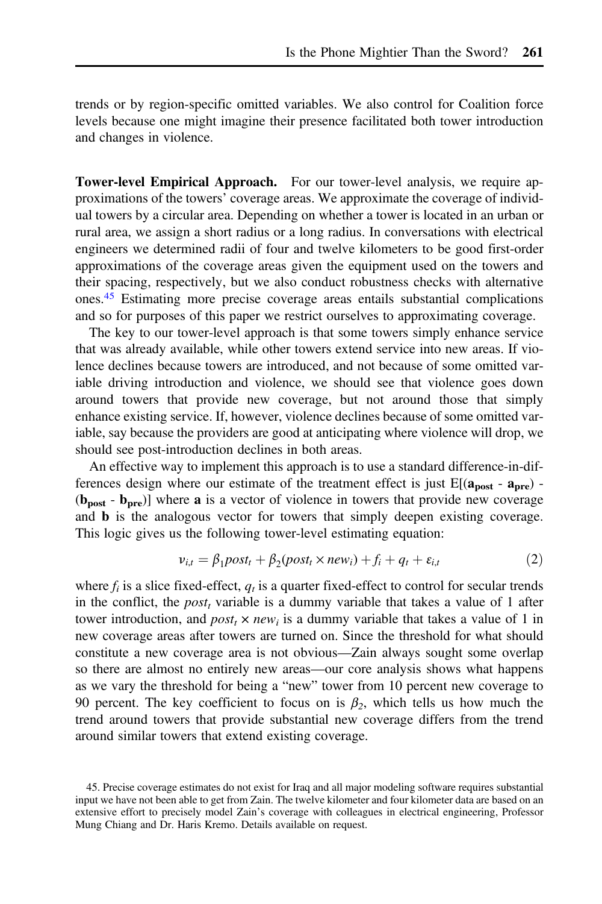<span id="page-15-0"></span>trends or by region-specific omitted variables. We also control for Coalition force levels because one might imagine their presence facilitated both tower introduction and changes in violence.

Tower-level Empirical Approach. For our tower-level analysis, we require approximations of the towers' coverage areas. We approximate the coverage of individual towers by a circular area. Depending on whether a tower is located in an urban or rural area, we assign a short radius or a long radius. In conversations with electrical engineers we determined radii of four and twelve kilometers to be good first-order approximations of the coverage areas given the equipment used on the towers and their spacing, respectively, but we also conduct robustness checks with alternative ones.45 Estimating more precise coverage areas entails substantial complications and so for purposes of this paper we restrict ourselves to approximating coverage.

The key to our tower-level approach is that some towers simply enhance service that was already available, while other towers extend service into new areas. If violence declines because towers are introduced, and not because of some omitted variable driving introduction and violence, we should see that violence goes down around towers that provide new coverage, but not around those that simply enhance existing service. If, however, violence declines because of some omitted variable, say because the providers are good at anticipating where violence will drop, we should see post-introduction declines in both areas.

An effective way to implement this approach is to use a standard difference-in-differences design where our estimate of the treatment effect is just  $E[(a_{\text{nost}} - a_{\text{pre}}) (b_{\text{post}} - b_{\text{pre}})$ ] where **a** is a vector of violence in towers that provide new coverage and b is the analogous vector for towers that simply deepen existing coverage. This logic gives us the following tower-level estimating equation:

$$
v_{i,t} = \beta_1 post_t + \beta_2 (post_t \times new_i) + f_i + q_t + \varepsilon_{i,t}
$$
 (2)

where  $f_i$  is a slice fixed-effect,  $q_i$  is a quarter fixed-effect to control for secular trends in the conflict, the  $post_t$  variable is a dummy variable that takes a value of 1 after tower introduction, and  $post_t \times new_i$  is a dummy variable that takes a value of 1 in new coverage areas after towers are turned on. Since the threshold for what should constitute a new coverage area is not obvious—Zain always sought some overlap so there are almost no entirely new areas—our core analysis shows what happens as we vary the threshold for being a "new" tower from 10 percent new coverage to 90 percent. The key coefficient to focus on is  $\beta_2$ , which tells us how much the trend around towers that provide substantial new coverage differs from the trend around similar towers that extend existing coverage.

<sup>45.</sup> Precise coverage estimates do not exist for Iraq and all major modeling software requires substantial input we have not been able to get from Zain. The twelve kilometer and four kilometer data are based on an extensive effort to precisely model Zain's coverage with colleagues in electrical engineering, Professor Mung Chiang and Dr. Haris Kremo. Details available on request.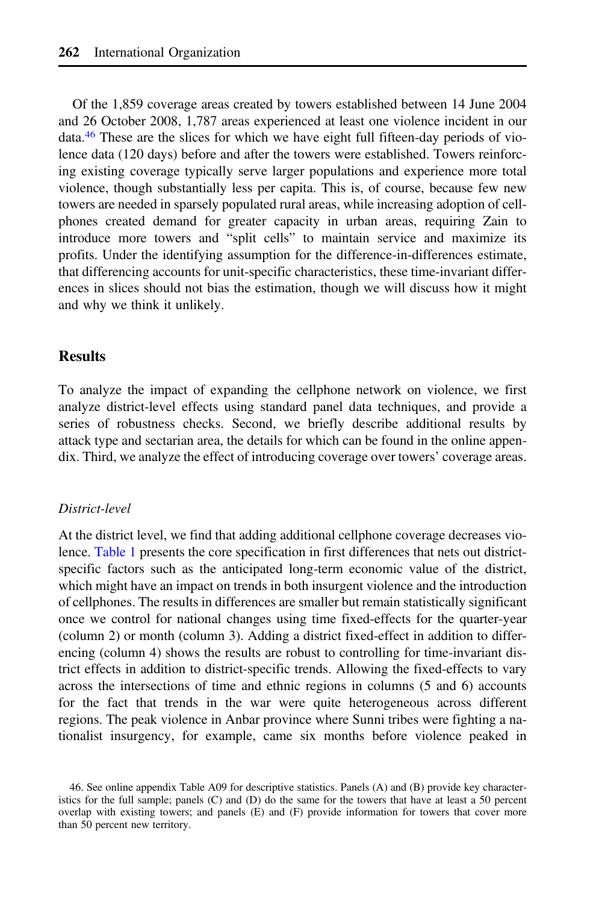Of the 1,859 coverage areas created by towers established between 14 June 2004 and 26 October 2008, 1,787 areas experienced at least one violence incident in our data.<sup>46</sup> These are the slices for which we have eight full fifteen-day periods of violence data (120 days) before and after the towers were established. Towers reinforcing existing coverage typically serve larger populations and experience more total violence, though substantially less per capita. This is, of course, because few new towers are needed in sparsely populated rural areas, while increasing adoption of cellphones created demand for greater capacity in urban areas, requiring Zain to introduce more towers and "split cells" to maintain service and maximize its profits. Under the identifying assumption for the difference-in-differences estimate, that differencing accounts for unit-specific characteristics, these time-invariant differences in slices should not bias the estimation, though we will discuss how it might and why we think it unlikely.

# **Results**

To analyze the impact of expanding the cellphone network on violence, we first analyze district-level effects using standard panel data techniques, and provide a series of robustness checks. Second, we briefly describe additional results by attack type and sectarian area, the details for which can be found in the online appendix. Third, we analyze the effect of introducing coverage over towers' coverage areas.

### District-level

At the district level, we find that adding additional cellphone coverage decreases violence. [Table 1](#page-17-0) presents the core specification in first differences that nets out districtspecific factors such as the anticipated long-term economic value of the district, which might have an impact on trends in both insurgent violence and the introduction of cellphones. The results in differences are smaller but remain statistically significant once we control for national changes using time fixed-effects for the quarter-year (column 2) or month (column 3). Adding a district fixed-effect in addition to differencing (column 4) shows the results are robust to controlling for time-invariant district effects in addition to district-specific trends. Allowing the fixed-effects to vary across the intersections of time and ethnic regions in columns (5 and 6) accounts for the fact that trends in the war were quite heterogeneous across different regions. The peak violence in Anbar province where Sunni tribes were fighting a nationalist insurgency, for example, came six months before violence peaked in

<sup>46.</sup> See online appendix Table A09 for descriptive statistics. Panels (A) and (B) provide key characteristics for the full sample; panels (C) and (D) do the same for the towers that have at least a 50 percent overlap with existing towers; and panels (E) and (F) provide information for towers that cover more than 50 percent new territory.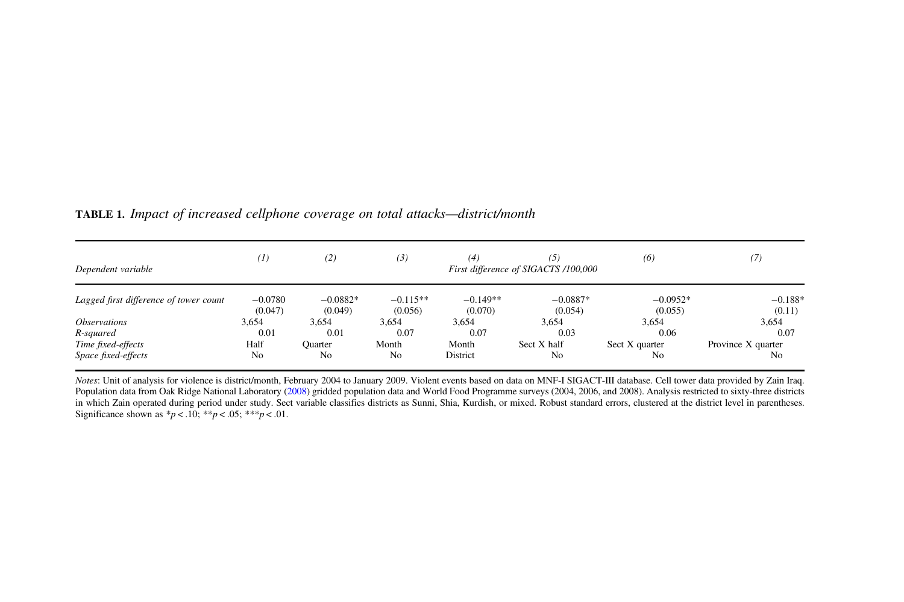| Dependent variable                     | (1)                  | $^{(2)}$              | (3)                   | (4)                   | ( ث<br>First difference of SIGACTS /100,000 | (6)                   | (7)                 |
|----------------------------------------|----------------------|-----------------------|-----------------------|-----------------------|---------------------------------------------|-----------------------|---------------------|
| Lagged first difference of tower count | $-0.0780$<br>(0.047) | $-0.0882*$<br>(0.049) | $-0.115**$<br>(0.056) | $-0.149**$<br>(0.070) | $-0.0887*$<br>(0.054)                       | $-0.0952*$<br>(0.055) | $-0.188*$<br>(0.11) |
| <i><b>Observations</b></i>             | 3,654                | 3,654                 | 3,654                 | 3,654                 | 3,654                                       | 3,654                 | 3,654               |
| R-squared                              | 0.01                 | 0.01                  | 0.07                  | 0.07                  | 0.03                                        | 0.06                  | 0.07                |
| Time fixed-effects                     | Half                 | Ouarter               | Month                 | Month                 | Sect X half                                 | Sect X quarter        | Province X quarter  |
| Space fixed-effects                    | No                   | No                    | N <sub>0</sub>        | District              | No                                          | No                    | No                  |

### <span id="page-17-0"></span>TABLE 1. Impact of increased cellphone coverage on total attacks—district/month

Notes: Unit of analysis for violence is district/month, February 2004 to January 2009. Violent events based on data on MNF-I SIGACT-III database. Cell tower data provided by Zain Iraq. Population data from Oak Ridge National Laboratory ([2008](#page-27-0)) gridded population data and World Food Programme surveys (2004, 2006, and 2008). Analysis restricted to sixty-three districts in which Zain operated during period under study. Sect variable classifies districts as Sunni, Shia, Kurdish, or mixed. Robust standard errors, clustered at the district level in parentheses. Significance shown as  ${}^*p$  < .10; \*\*p < .05; \*\*\*p < .01.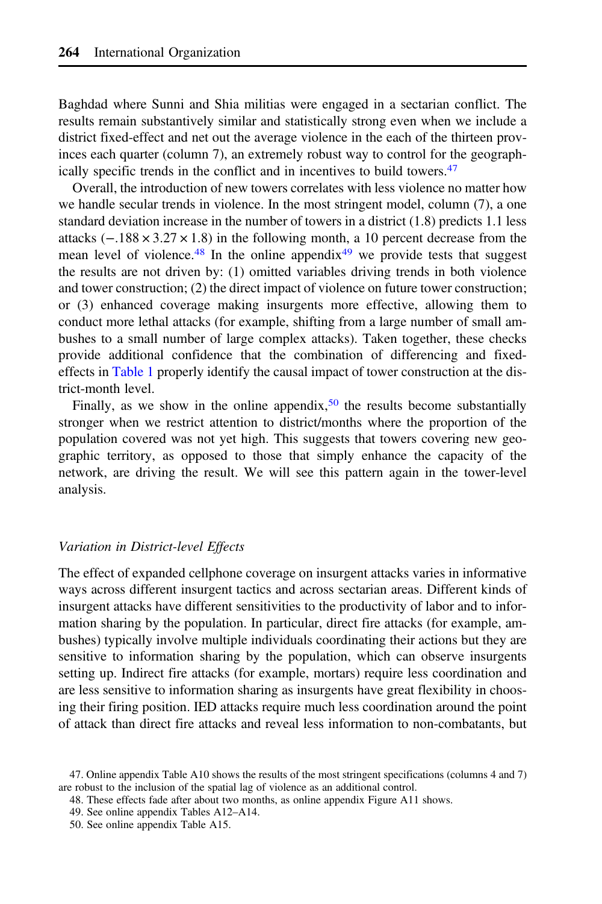Baghdad where Sunni and Shia militias were engaged in a sectarian conflict. The results remain substantively similar and statistically strong even when we include a district fixed-effect and net out the average violence in the each of the thirteen provinces each quarter (column 7), an extremely robust way to control for the geographically specific trends in the conflict and in incentives to build towers.<sup>47</sup>

Overall, the introduction of new towers correlates with less violence no matter how we handle secular trends in violence. In the most stringent model, column (7), a one standard deviation increase in the number of towers in a district (1.8) predicts 1.1 less attacks  $(-.188 \times 3.27 \times 1.8)$  in the following month, a 10 percent decrease from the mean level of violence.<sup>48</sup> In the online appendix<sup>49</sup> we provide tests that suggest the results are not driven by: (1) omitted variables driving trends in both violence and tower construction; (2) the direct impact of violence on future tower construction; or (3) enhanced coverage making insurgents more effective, allowing them to conduct more lethal attacks (for example, shifting from a large number of small ambushes to a small number of large complex attacks). Taken together, these checks provide additional confidence that the combination of differencing and fixedeffects in [Table 1](#page-17-0) properly identify the causal impact of tower construction at the district-month level.

Finally, as we show in the online appendix,  $50$  the results become substantially stronger when we restrict attention to district/months where the proportion of the population covered was not yet high. This suggests that towers covering new geographic territory, as opposed to those that simply enhance the capacity of the network, are driving the result. We will see this pattern again in the tower-level analysis.

## Variation in District-level Effects

The effect of expanded cellphone coverage on insurgent attacks varies in informative ways across different insurgent tactics and across sectarian areas. Different kinds of insurgent attacks have different sensitivities to the productivity of labor and to information sharing by the population. In particular, direct fire attacks (for example, ambushes) typically involve multiple individuals coordinating their actions but they are sensitive to information sharing by the population, which can observe insurgents setting up. Indirect fire attacks (for example, mortars) require less coordination and are less sensitive to information sharing as insurgents have great flexibility in choosing their firing position. IED attacks require much less coordination around the point of attack than direct fire attacks and reveal less information to non-combatants, but

<sup>47.</sup> Online appendix Table A10 shows the results of the most stringent specifications (columns 4 and 7) are robust to the inclusion of the spatial lag of violence as an additional control.

<sup>48.</sup> These effects fade after about two months, as online appendix Figure A11 shows.

<sup>49.</sup> See online appendix Tables A12–A14.

<sup>50.</sup> See online appendix Table A15.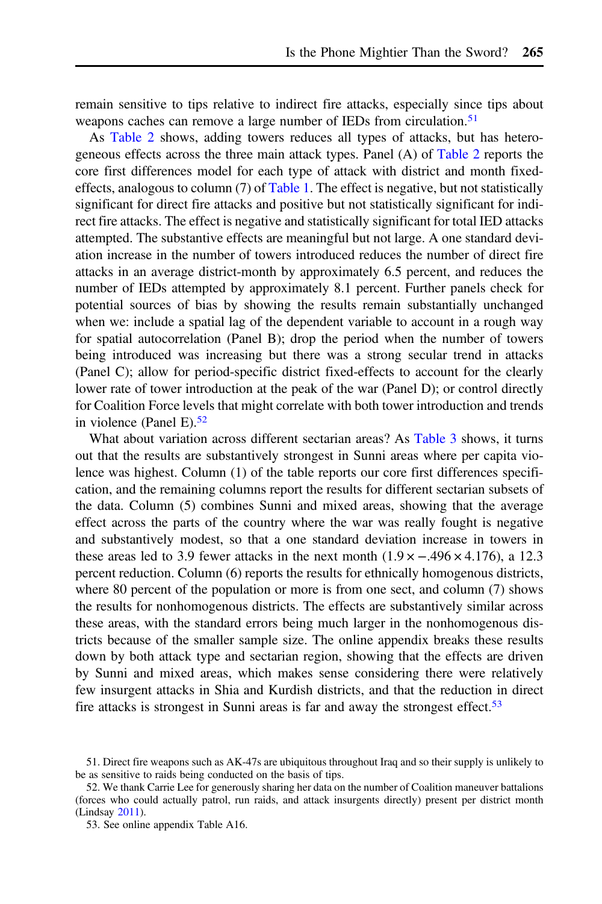remain sensitive to tips relative to indirect fire attacks, especially since tips about weapons caches can remove a large number of IEDs from circulation.<sup>51</sup>

As [Table 2](#page-20-0) shows, adding towers reduces all types of attacks, but has heterogeneous effects across the three main attack types. Panel (A) of [Table 2](#page-20-0) reports the core first differences model for each type of attack with district and month fixedeffects, analogous to column (7) of [Table 1](#page-17-0). The effect is negative, but not statistically significant for direct fire attacks and positive but not statistically significant for indirect fire attacks. The effect is negative and statistically significant for total IED attacks attempted. The substantive effects are meaningful but not large. A one standard deviation increase in the number of towers introduced reduces the number of direct fire attacks in an average district-month by approximately 6.5 percent, and reduces the number of IEDs attempted by approximately 8.1 percent. Further panels check for potential sources of bias by showing the results remain substantially unchanged when we: include a spatial lag of the dependent variable to account in a rough way for spatial autocorrelation (Panel B); drop the period when the number of towers being introduced was increasing but there was a strong secular trend in attacks (Panel C); allow for period-specific district fixed-effects to account for the clearly lower rate of tower introduction at the peak of the war (Panel D); or control directly for Coalition Force levels that might correlate with both tower introduction and trends in violence (Panel E). $52$ 

What about variation across different sectarian areas? As [Table 3](#page-21-0) shows, it turns out that the results are substantively strongest in Sunni areas where per capita violence was highest. Column (1) of the table reports our core first differences specification, and the remaining columns report the results for different sectarian subsets of the data. Column (5) combines Sunni and mixed areas, showing that the average effect across the parts of the country where the war was really fought is negative and substantively modest, so that a one standard deviation increase in towers in these areas led to 3.9 fewer attacks in the next month  $(1.9 \times -0.496 \times 4.176)$ , a 12.3 percent reduction. Column (6) reports the results for ethnically homogenous districts, where 80 percent of the population or more is from one sect, and column (7) shows the results for nonhomogenous districts. The effects are substantively similar across these areas, with the standard errors being much larger in the nonhomogenous districts because of the smaller sample size. The online appendix breaks these results down by both attack type and sectarian region, showing that the effects are driven by Sunni and mixed areas, which makes sense considering there were relatively few insurgent attacks in Shia and Kurdish districts, and that the reduction in direct fire attacks is strongest in Sunni areas is far and away the strongest effect.<sup>53</sup>

<sup>51.</sup> Direct fire weapons such as AK-47s are ubiquitous throughout Iraq and so their supply is unlikely to be as sensitive to raids being conducted on the basis of tips.

<sup>52.</sup> We thank Carrie Lee for generously sharing her data on the number of Coalition maneuver battalions (forces who could actually patrol, run raids, and attack insurgents directly) present per district month (Lindsay [2011](#page-27-0)).

<sup>53.</sup> See online appendix Table A16.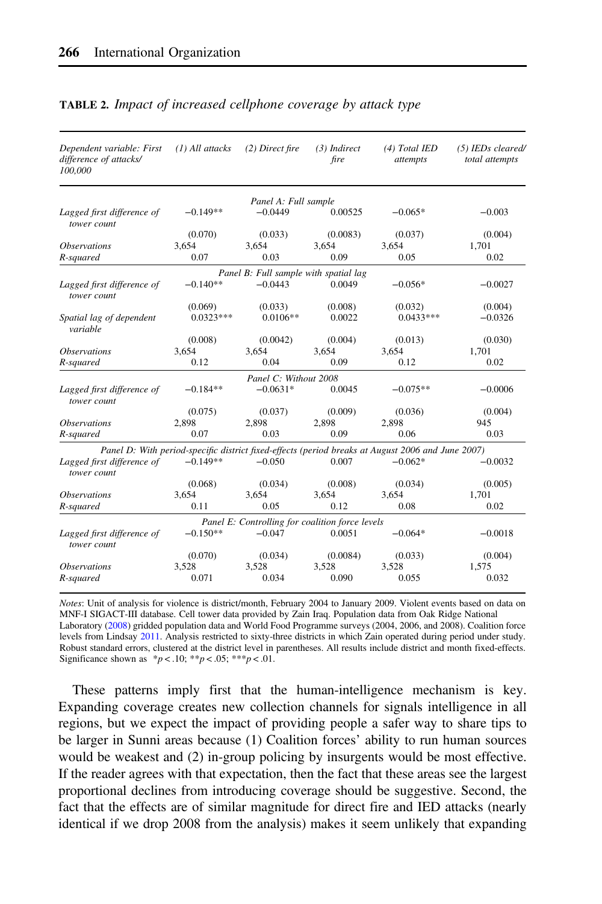| Dependent variable: First<br>difference of attacks/<br>100,000 | $(1)$ All attacks | (2) Direct fire                                 | (3) Indirect<br>fire | $(4)$ Total IED<br>attempts                                                                                    | $(5)$ IEDs cleared/<br>total attempts |
|----------------------------------------------------------------|-------------------|-------------------------------------------------|----------------------|----------------------------------------------------------------------------------------------------------------|---------------------------------------|
|                                                                |                   | Panel A: Full sample                            |                      |                                                                                                                |                                       |
| Lagged first difference of<br>tower count                      | $-0.149**$        | $-0.0449$                                       | 0.00525              | $-0.065*$                                                                                                      | $-0.003$                              |
|                                                                | (0.070)           | (0.033)                                         | (0.0083)             | (0.037)                                                                                                        | (0.004)                               |
| <i><b>Observations</b></i>                                     | 3.654             | 3,654                                           | 3,654                | 3,654                                                                                                          | 1,701                                 |
| R-squared                                                      | 0.07              | 0.03                                            | 0.09                 | 0.05                                                                                                           | 0.02                                  |
|                                                                |                   | Panel B: Full sample with spatial lag           |                      |                                                                                                                |                                       |
| Lagged first difference of<br>tower count                      | $-0.140**$        | $-0.0443$                                       | 0.0049               | $-0.056*$                                                                                                      | $-0.0027$                             |
|                                                                | (0.069)           | (0.033)                                         | (0.008)              | (0.032)                                                                                                        | (0.004)                               |
| Spatial lag of dependent<br>variable                           | $0.0323***$       | $0.0106**$                                      | 0.0022               | $0.0433***$                                                                                                    | $-0.0326$                             |
|                                                                | (0.008)           | (0.0042)                                        | (0.004)              | (0.013)                                                                                                        | (0.030)                               |
| <i><b>Observations</b></i>                                     | 3.654             | 3.654                                           | 3.654                | 3.654                                                                                                          | 1.701                                 |
| R-squared                                                      | 0.12              | 0.04                                            | 0.09                 | 0.12                                                                                                           | 0.02                                  |
|                                                                |                   | Panel C: Without 2008                           |                      |                                                                                                                |                                       |
| Lagged first difference of<br>tower count                      | $-0.184**$        | $-0.0631*$                                      | 0.0045               | $-0.075**$                                                                                                     | $-0.0006$                             |
|                                                                | (0.075)           | (0.037)                                         | (0.009)              | (0.036)                                                                                                        | (0.004)                               |
| <i><b>Observations</b></i>                                     | 2,898             | 2,898                                           | 2,898                | 2,898                                                                                                          | 945                                   |
| R-squared                                                      | 0.07              | 0.03                                            | 0.09                 | 0.06                                                                                                           | 0.03                                  |
| Lagged first difference of<br>tower count                      | $-0.149**$        | $-0.050$                                        | 0.007                | Panel D: With period-specific district fixed-effects (period breaks at August 2006 and June 2007)<br>$-0.062*$ | $-0.0032$                             |
|                                                                | (0.068)           | (0.034)                                         | (0.008)              | (0.034)                                                                                                        | (0.005)                               |
| <i><b>Observations</b></i>                                     | 3.654             | 3.654                                           | 3,654                | 3.654                                                                                                          | 1.701                                 |
| R-squared                                                      | 0.11              | 0.05                                            | 0.12                 | 0.08                                                                                                           | 0.02                                  |
|                                                                |                   | Panel E: Controlling for coalition force levels |                      |                                                                                                                |                                       |
| Lagged first difference of<br>tower count                      | $-0.150**$        | $-0.047$                                        | 0.0051               | $-0.064*$                                                                                                      | $-0.0018$                             |
|                                                                | (0.070)           | (0.034)                                         | (0.0084)             | (0.033)                                                                                                        | (0.004)                               |
| <i><b>Observations</b></i>                                     | 3.528             | 3.528                                           | 3,528                | 3.528                                                                                                          | 1,575                                 |
| R-squared                                                      | 0.071             | 0.034                                           | 0.090                | 0.055                                                                                                          | 0.032                                 |

### <span id="page-20-0"></span>TABLE 2. Impact of increased cellphone coverage by attack type

Notes: Unit of analysis for violence is district/month, February 2004 to January 2009. Violent events based on data on MNF-I SIGACT-III database. Cell tower data provided by Zain Iraq. Population data from Oak Ridge National Laboratory [\(2008\)](#page-27-0) gridded population data and World Food Programme surveys (2004, 2006, and 2008). Coalition force levels from Lindsay [2011.](#page-27-0) Analysis restricted to sixty-three districts in which Zain operated during period under study. Robust standard errors, clustered at the district level in parentheses. All results include district and month fixed-effects. Significance shown as  ${}^*p$  < .10;  ${}^*p$  < .05;  ${}^*{}^*p$  < .01.

These patterns imply first that the human-intelligence mechanism is key. Expanding coverage creates new collection channels for signals intelligence in all regions, but we expect the impact of providing people a safer way to share tips to be larger in Sunni areas because (1) Coalition forces' ability to run human sources would be weakest and (2) in-group policing by insurgents would be most effective. If the reader agrees with that expectation, then the fact that these areas see the largest proportional declines from introducing coverage should be suggestive. Second, the fact that the effects are of similar magnitude for direct fire and IED attacks (nearly identical if we drop 2008 from the analysis) makes it seem unlikely that expanding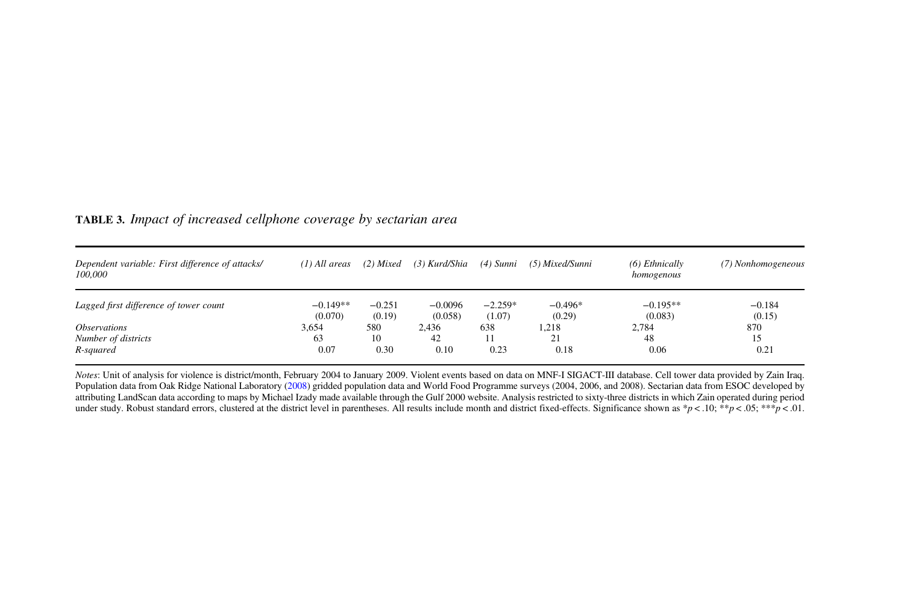| Dependent variable: First difference of attacks/<br>100,000 | $(1)$ All areas       | $(2)$ Mixed        | (3) Kurd/Shia        | (4) Sunni           | (5) Mixed/Sunni     | $(6)$ Ethnically<br>homogenous | (7) Nonhomogeneous |
|-------------------------------------------------------------|-----------------------|--------------------|----------------------|---------------------|---------------------|--------------------------------|--------------------|
| Lagged first difference of tower count                      | $-0.149**$<br>(0.070) | $-0.251$<br>(0.19) | $-0.0096$<br>(0.058) | $-2.259*$<br>(1.07) | $-0.496*$<br>(0.29) | $-0.195**$<br>(0.083)          | $-0.184$<br>(0.15) |
| <i>Observations</i>                                         | 3.654                 | 580                | 2.436                | 638                 | 1.218               | 2.784                          | 870                |
| Number of districts                                         | 63                    | 10                 | 42                   | 11                  | 21                  | 48                             | 15                 |
| R-squared                                                   | 0.07                  | 0.30               | 0.10                 | 0.23                | 0.18                | 0.06                           | 0.21               |

#### <span id="page-21-0"></span>TABLE 3. Impact of increased cellphone coverage by sectarian area

Notes: Unit of analysis for violence is district/month, February 2004 to January 2009. Violent events based on data on MNF-I SIGACT-III database. Cell tower data provided by Zain Iraq. Population data from Oak Ridge National Laboratory ([2008](#page-27-0)) gridded population data and World Food Programme surveys (2004, 2006, and 2008). Sectarian data from ESOC developed by attributing LandScan data according to maps by Michael Izady made available through the Gulf 2000 website. Analysis restricted to sixty-three districts in which Zain operated during period under study. Robust standard errors, clustered at the district level in parentheses. All results include month and district fixed-effects. Significance shown as  $\gamma p < 0.05$ ; \*\*\*p < .01.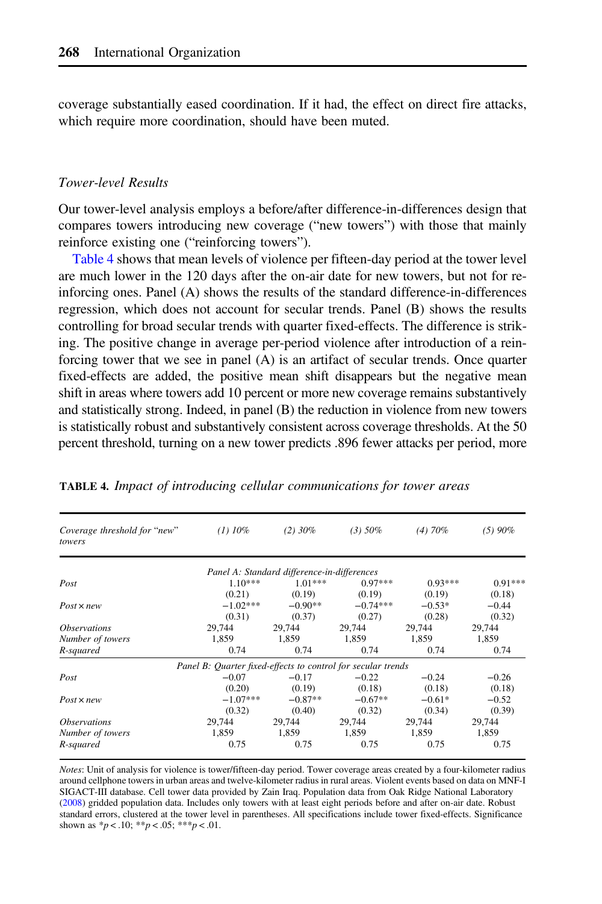<span id="page-22-0"></span>coverage substantially eased coordination. If it had, the effect on direct fire attacks, which require more coordination, should have been muted.

## Tower-level Results

Our tower-level analysis employs a before/after difference-in-differences design that compares towers introducing new coverage ("new towers") with those that mainly reinforce existing one ("reinforcing towers").

Table 4 shows that mean levels of violence per fifteen-day period at the tower level are much lower in the 120 days after the on-air date for new towers, but not for reinforcing ones. Panel (A) shows the results of the standard difference-in-differences regression, which does not account for secular trends. Panel (B) shows the results controlling for broad secular trends with quarter fixed-effects. The difference is striking. The positive change in average per-period violence after introduction of a reinforcing tower that we see in panel (A) is an artifact of secular trends. Once quarter fixed-effects are added, the positive mean shift disappears but the negative mean shift in areas where towers add 10 percent or more new coverage remains substantively and statistically strong. Indeed, in panel (B) the reduction in violence from new towers is statistically robust and substantively consistent across coverage thresholds. At the 50 percent threshold, turning on a new tower predicts .896 fewer attacks per period, more

| Coverage threshold for "new"<br>towers | $(1) 10\%$                                                   | $(2)$ 30%                                   | $(3) 50\%$ | (4) 70%   | (5)90%    |
|----------------------------------------|--------------------------------------------------------------|---------------------------------------------|------------|-----------|-----------|
|                                        |                                                              | Panel A: Standard difference-in-differences |            |           |           |
| Post                                   | $1.10***$                                                    | $1.01***$                                   | $0.97***$  | $0.93***$ | $0.91***$ |
|                                        | (0.21)                                                       | (0.19)                                      | (0.19)     | (0.19)    | (0.18)    |
| $Post \times new$                      | $-1.02***$                                                   | $-0.90**$                                   | $-0.74***$ | $-0.53*$  | $-0.44$   |
|                                        | (0.31)                                                       | (0.37)                                      | (0.27)     | (0.28)    | (0.32)    |
| <i><b>Observations</b></i>             | 29,744                                                       | 29,744                                      | 29.744     | 29.744    | 29,744    |
| Number of towers                       | 1.859                                                        | 1,859                                       | 1,859      | 1,859     | 1,859     |
| R-squared                              | 0.74                                                         | 0.74                                        | 0.74       | 0.74      | 0.74      |
|                                        | Panel B: Quarter fixed-effects to control for secular trends |                                             |            |           |           |
| Post                                   | $-0.07$                                                      | $-0.17$                                     | $-0.22$    | $-0.24$   | $-0.26$   |
|                                        | (0.20)                                                       | (0.19)                                      | (0.18)     | (0.18)    | (0.18)    |
| $Post \times new$                      | $-1.07***$                                                   | $-0.87**$                                   | $-0.67**$  | $-0.61*$  | $-0.52$   |
|                                        | (0.32)                                                       | (0.40)                                      | (0.32)     | (0.34)    | (0.39)    |
| <i><b>Observations</b></i>             | 29,744                                                       | 29,744                                      | 29,744     | 29,744    | 29,744    |
| Number of towers                       | 1.859                                                        | 1.859                                       | 1.859      | 1.859     | 1.859     |
| R-squared                              | 0.75                                                         | 0.75                                        | 0.75       | 0.75      | 0.75      |

TABLE 4. Impact of introducing cellular communications for tower areas

Notes: Unit of analysis for violence is tower/fifteen-day period. Tower coverage areas created by a four-kilometer radius around cellphone towers in urban areas and twelve-kilometer radius in rural areas. Violent events based on data on MNF-I SIGACT-III database. Cell tower data provided by Zain Iraq. Population data from Oak Ridge National Laboratory ([2008](#page-27-0)) gridded population data. Includes only towers with at least eight periods before and after on-air date. Robust standard errors, clustered at the tower level in parentheses. All specifications include tower fixed-effects. Significance shown as  ${}^*p$  < .10;  ${}^{**}p$  < .05;  ${}^{***}p$  < .01.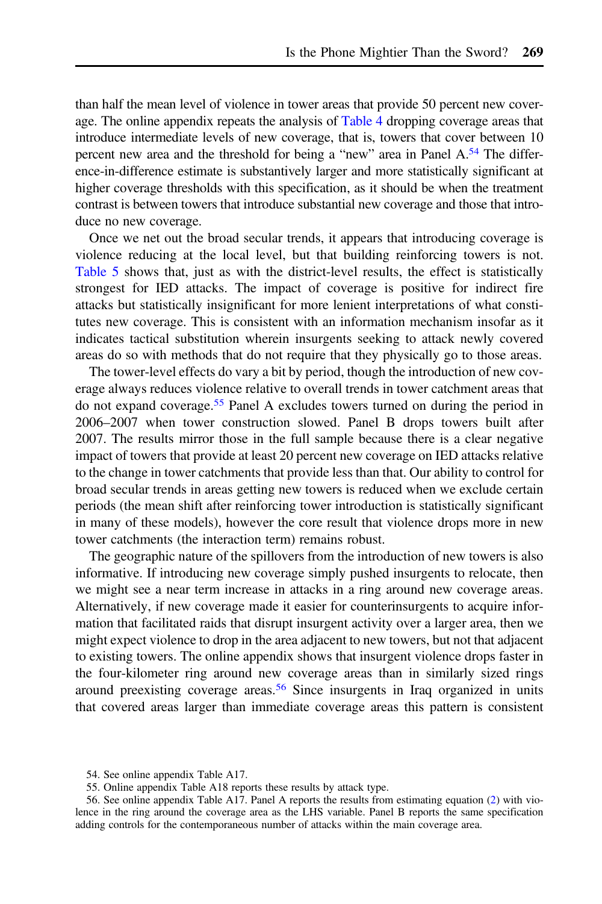than half the mean level of violence in tower areas that provide 50 percent new coverage. The online appendix repeats the analysis of [Table 4](#page-22-0) dropping coverage areas that introduce intermediate levels of new coverage, that is, towers that cover between 10 percent new area and the threshold for being a "new" area in Panel A.<sup>54</sup> The difference-in-difference estimate is substantively larger and more statistically significant at higher coverage thresholds with this specification, as it should be when the treatment contrast is between towers that introduce substantial new coverage and those that introduce no new coverage.

Once we net out the broad secular trends, it appears that introducing coverage is violence reducing at the local level, but that building reinforcing towers is not. [Table 5](#page-24-0) shows that, just as with the district-level results, the effect is statistically strongest for IED attacks. The impact of coverage is positive for indirect fire attacks but statistically insignificant for more lenient interpretations of what constitutes new coverage. This is consistent with an information mechanism insofar as it indicates tactical substitution wherein insurgents seeking to attack newly covered areas do so with methods that do not require that they physically go to those areas.

The tower-level effects do vary a bit by period, though the introduction of new coverage always reduces violence relative to overall trends in tower catchment areas that do not expand coverage.<sup>55</sup> Panel A excludes towers turned on during the period in 2006–2007 when tower construction slowed. Panel B drops towers built after 2007. The results mirror those in the full sample because there is a clear negative impact of towers that provide at least 20 percent new coverage on IED attacks relative to the change in tower catchments that provide less than that. Our ability to control for broad secular trends in areas getting new towers is reduced when we exclude certain periods (the mean shift after reinforcing tower introduction is statistically significant in many of these models), however the core result that violence drops more in new tower catchments (the interaction term) remains robust.

The geographic nature of the spillovers from the introduction of new towers is also informative. If introducing new coverage simply pushed insurgents to relocate, then we might see a near term increase in attacks in a ring around new coverage areas. Alternatively, if new coverage made it easier for counterinsurgents to acquire information that facilitated raids that disrupt insurgent activity over a larger area, then we might expect violence to drop in the area adjacent to new towers, but not that adjacent to existing towers. The online appendix shows that insurgent violence drops faster in the four-kilometer ring around new coverage areas than in similarly sized rings around preexisting coverage areas.<sup>56</sup> Since insurgents in Iraq organized in units that covered areas larger than immediate coverage areas this pattern is consistent

<sup>54.</sup> See online appendix Table A17.

<sup>55.</sup> Online appendix Table A18 reports these results by attack type.

<sup>56.</sup> See online appendix Table A17. Panel A reports the results from estimating equation ([2\)](#page-15-0) with violence in the ring around the coverage area as the LHS variable. Panel B reports the same specification adding controls for the contemporaneous number of attacks within the main coverage area.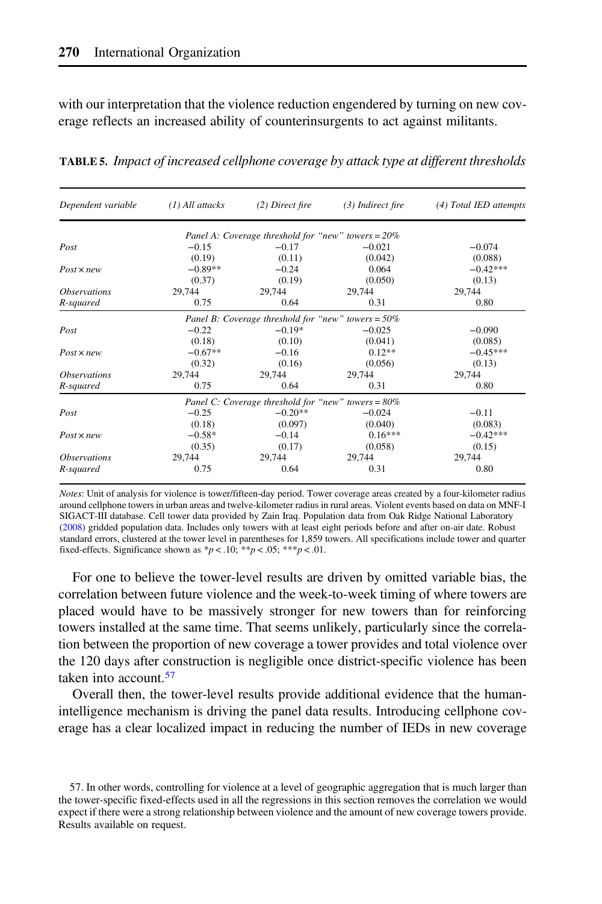<span id="page-24-0"></span>with our interpretation that the violence reduction engendered by turning on new coverage reflects an increased ability of counterinsurgents to act against militants.

| Dependent variable         | $(1)$ All attacks | $(2)$ Direct fire                                     | $(3)$ Indirect fire | (4) Total IED attempts |
|----------------------------|-------------------|-------------------------------------------------------|---------------------|------------------------|
|                            |                   | Panel A: Coverage threshold for "new" towers = $20\%$ |                     |                        |
| Post                       | $-0.15$           | $-0.17$                                               | $-0.021$            | $-0.074$               |
|                            | (0.19)            | (0.11)                                                | (0.042)             | (0.088)                |
| $Post \times new$          | $-0.89**$         | $-0.24$                                               | 0.064               | $-0.42***$             |
|                            | (0.37)            | (0.19)                                                | (0.050)             | (0.13)                 |
| <i><b>Observations</b></i> | 29,744            | 29,744                                                | 29,744              | 29,744                 |
| R-squared                  | 0.75              | 0.64                                                  | 0.31                | 0.80                   |
|                            |                   | Panel B: Coverage threshold for "new" towers = $50\%$ |                     |                        |
| Post                       | $-0.22$           | $-0.19*$                                              | $-0.025$            | $-0.090$               |
|                            | (0.18)            | (0.10)                                                | (0.041)             | (0.085)                |
| $Post \times new$          | $-0.67**$         | $-0.16$                                               | $0.12**$            | $-0.45***$             |
|                            | (0.32)            | (0.16)                                                | (0.056)             | (0.13)                 |
| <i><b>Observations</b></i> | 29,744            | 29,744                                                | 29,744              | 29,744                 |
| R-squared                  | 0.75              | 0.64                                                  | 0.31                | 0.80                   |
|                            |                   | Panel C: Coverage threshold for "new" towers = $80\%$ |                     |                        |
| Post                       | $-0.25$           | $-0.20**$                                             | $-0.024$            | $-0.11$                |
|                            | (0.18)            | (0.097)                                               | (0.040)             | (0.083)                |
| $Post \times new$          | $-0.58*$          | $-0.14$                                               | $0.16***$           | $-0.42***$             |
|                            | (0.35)            | (0.17)                                                | (0.058)             | (0.15)                 |
| <i><b>Observations</b></i> | 29,744            | 29,744                                                | 29,744              | 29,744                 |
| R-squared                  | 0.75              | 0.64                                                  | 0.31                | 0.80                   |

TABLE 5. Impact of increased cellphone coverage by attack type at different thresholds

Notes: Unit of analysis for violence is tower/fifteen-day period. Tower coverage areas created by a four-kilometer radius around cellphone towers in urban areas and twelve-kilometer radius in rural areas. Violent events based on data on MNF-I SIGACT-III database. Cell tower data provided by Zain Iraq. Population data from Oak Ridge National Laboratory [\(2008](#page-27-0)) gridded population data. Includes only towers with at least eight periods before and after on-air date. Robust standard errors, clustered at the tower level in parentheses for 1,859 towers. All specifications include tower and quarter fixed-effects. Significance shown as  $\frac{p}{q}$  < .10;  $\frac{p}{q}$  < .05;  $\frac{p}{q}$  < .01.

For one to believe the tower-level results are driven by omitted variable bias, the correlation between future violence and the week-to-week timing of where towers are placed would have to be massively stronger for new towers than for reinforcing towers installed at the same time. That seems unlikely, particularly since the correlation between the proportion of new coverage a tower provides and total violence over the 120 days after construction is negligible once district-specific violence has been taken into account.<sup>57</sup>

Overall then, the tower-level results provide additional evidence that the humanintelligence mechanism is driving the panel data results. Introducing cellphone coverage has a clear localized impact in reducing the number of IEDs in new coverage

<sup>57.</sup> In other words, controlling for violence at a level of geographic aggregation that is much larger than the tower-specific fixed-effects used in all the regressions in this section removes the correlation we would expect if there were a strong relationship between violence and the amount of new coverage towers provide. Results available on request.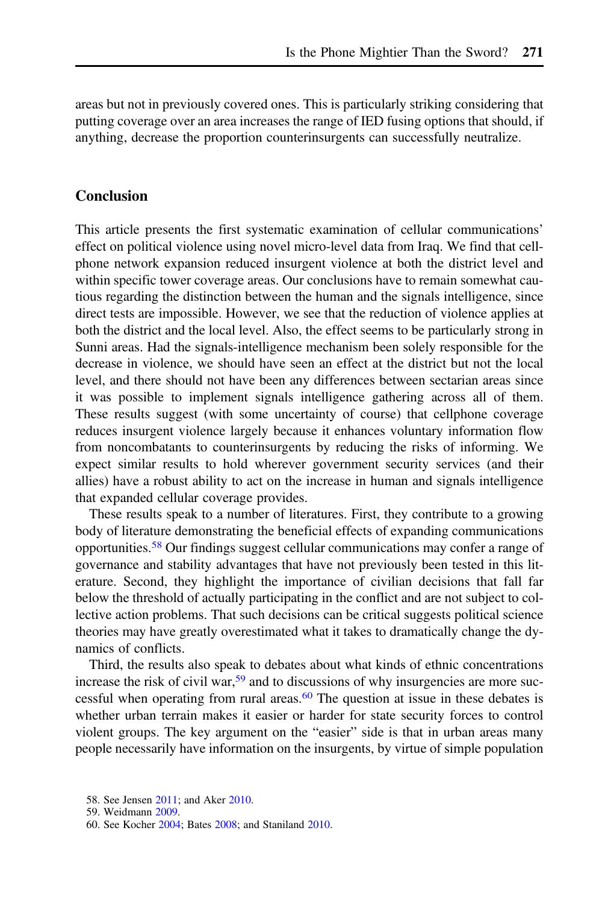areas but not in previously covered ones. This is particularly striking considering that putting coverage over an area increases the range of IED fusing options that should, if anything, decrease the proportion counterinsurgents can successfully neutralize.

# **Conclusion**

This article presents the first systematic examination of cellular communications' effect on political violence using novel micro-level data from Iraq. We find that cellphone network expansion reduced insurgent violence at both the district level and within specific tower coverage areas. Our conclusions have to remain somewhat cautious regarding the distinction between the human and the signals intelligence, since direct tests are impossible. However, we see that the reduction of violence applies at both the district and the local level. Also, the effect seems to be particularly strong in Sunni areas. Had the signals-intelligence mechanism been solely responsible for the decrease in violence, we should have seen an effect at the district but not the local level, and there should not have been any differences between sectarian areas since it was possible to implement signals intelligence gathering across all of them. These results suggest (with some uncertainty of course) that cellphone coverage reduces insurgent violence largely because it enhances voluntary information flow from noncombatants to counterinsurgents by reducing the risks of informing. We expect similar results to hold wherever government security services (and their allies) have a robust ability to act on the increase in human and signals intelligence that expanded cellular coverage provides.

These results speak to a number of literatures. First, they contribute to a growing body of literature demonstrating the beneficial effects of expanding communications opportunities.<sup>58</sup> Our findings suggest cellular communications may confer a range of governance and stability advantages that have not previously been tested in this literature. Second, they highlight the importance of civilian decisions that fall far below the threshold of actually participating in the conflict and are not subject to collective action problems. That such decisions can be critical suggests political science theories may have greatly overestimated what it takes to dramatically change the dynamics of conflicts.

Third, the results also speak to debates about what kinds of ethnic concentrations increase the risk of civil war,  $59$  and to discussions of why insurgencies are more successful when operating from rural areas. $60$  The question at issue in these debates is whether urban terrain makes it easier or harder for state security forces to control violent groups. The key argument on the "easier" side is that in urban areas many people necessarily have information on the insurgents, by virtue of simple population

<sup>58.</sup> See Jensen [2011;](#page-27-0) and Aker [2010](#page-26-0).

<sup>59.</sup> Weidmann [2009](#page-28-0).

<sup>60.</sup> See Kocher [2004;](#page-27-0) Bates [2008](#page-26-0); and Staniland [2010.](#page-27-0)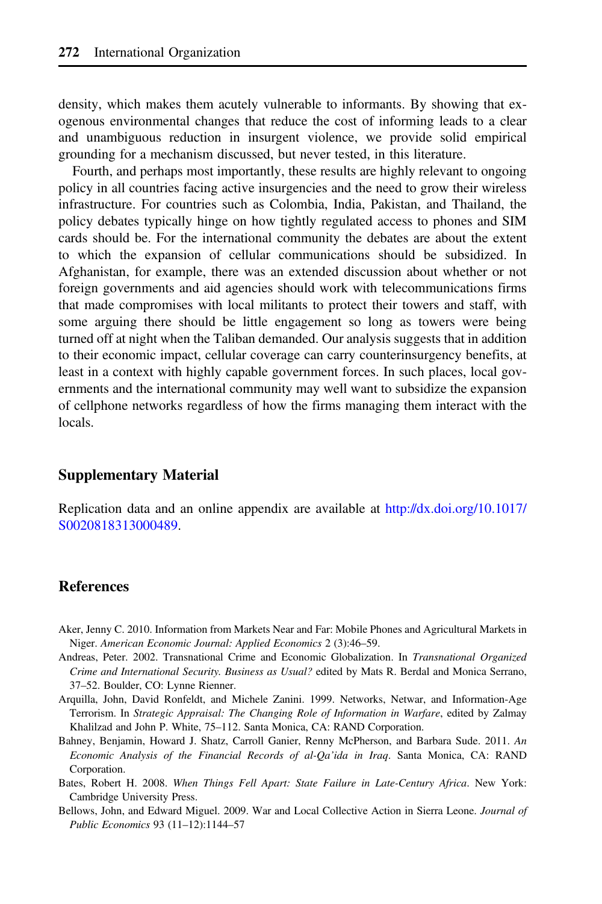<span id="page-26-0"></span>density, which makes them acutely vulnerable to informants. By showing that exogenous environmental changes that reduce the cost of informing leads to a clear and unambiguous reduction in insurgent violence, we provide solid empirical grounding for a mechanism discussed, but never tested, in this literature.

Fourth, and perhaps most importantly, these results are highly relevant to ongoing policy in all countries facing active insurgencies and the need to grow their wireless infrastructure. For countries such as Colombia, India, Pakistan, and Thailand, the policy debates typically hinge on how tightly regulated access to phones and SIM cards should be. For the international community the debates are about the extent to which the expansion of cellular communications should be subsidized. In Afghanistan, for example, there was an extended discussion about whether or not foreign governments and aid agencies should work with telecommunications firms that made compromises with local militants to protect their towers and staff, with some arguing there should be little engagement so long as towers were being turned off at night when the Taliban demanded. Our analysis suggests that in addition to their economic impact, cellular coverage can carry counterinsurgency benefits, at least in a context with highly capable government forces. In such places, local governments and the international community may well want to subsidize the expansion of cellphone networks regardless of how the firms managing them interact with the locals.

## Supplementary Material

Replication data and an online appendix are available at [http://dx.doi.org/10.1017/](http://dx.doi.org/10.1017/S0020818313000489) [S0020818313000489.](http://dx.doi.org/10.1017/S0020818313000489)

## References

- Aker, Jenny C. 2010. Information from Markets Near and Far: Mobile Phones and Agricultural Markets in Niger. American Economic Journal: Applied Economics 2 (3):46–59.
- Andreas, Peter. 2002. Transnational Crime and Economic Globalization. In Transnational Organized Crime and International Security. Business as Usual? edited by Mats R. Berdal and Monica Serrano, 37–52. Boulder, CO: Lynne Rienner.
- Arquilla, John, David Ronfeldt, and Michele Zanini. 1999. Networks, Netwar, and Information-Age Terrorism. In Strategic Appraisal: The Changing Role of Information in Warfare, edited by Zalmay Khalilzad and John P. White, 75–112. Santa Monica, CA: RAND Corporation.
- Bahney, Benjamin, Howard J. Shatz, Carroll Ganier, Renny McPherson, and Barbara Sude. 2011. An Economic Analysis of the Financial Records of al-Qa'ida in Iraq. Santa Monica, CA: RAND Corporation.
- Bates, Robert H. 2008. When Things Fell Apart: State Failure in Late-Century Africa. New York: Cambridge University Press.
- Bellows, John, and Edward Miguel. 2009. War and Local Collective Action in Sierra Leone. Journal of Public Economics 93 (11–12):1144–57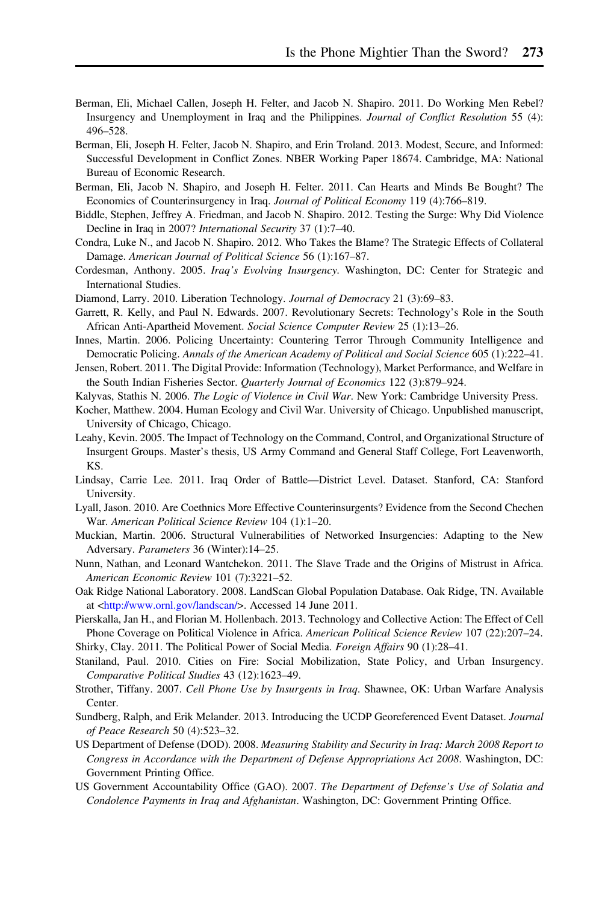- <span id="page-27-0"></span>Berman, Eli, Michael Callen, Joseph H. Felter, and Jacob N. Shapiro. 2011. Do Working Men Rebel? Insurgency and Unemployment in Iraq and the Philippines. Journal of Conflict Resolution 55 (4): 496–528.
- Berman, Eli, Joseph H. Felter, Jacob N. Shapiro, and Erin Troland. 2013. Modest, Secure, and Informed: Successful Development in Conflict Zones. NBER Working Paper 18674. Cambridge, MA: National Bureau of Economic Research.
- Berman, Eli, Jacob N. Shapiro, and Joseph H. Felter. 2011. Can Hearts and Minds Be Bought? The Economics of Counterinsurgency in Iraq. Journal of Political Economy 119 (4):766-819.
- Biddle, Stephen, Jeffrey A. Friedman, and Jacob N. Shapiro. 2012. Testing the Surge: Why Did Violence Decline in Iraq in 2007? International Security 37 (1):7–40.
- Condra, Luke N., and Jacob N. Shapiro. 2012. Who Takes the Blame? The Strategic Effects of Collateral Damage. American Journal of Political Science 56 (1):167–87.
- Cordesman, Anthony. 2005. Iraq's Evolving Insurgency. Washington, DC: Center for Strategic and International Studies.
- Diamond, Larry. 2010. Liberation Technology. Journal of Democracy 21 (3):69–83.
- Garrett, R. Kelly, and Paul N. Edwards. 2007. Revolutionary Secrets: Technology's Role in the South African Anti-Apartheid Movement. Social Science Computer Review 25 (1):13–26.
- Innes, Martin. 2006. Policing Uncertainty: Countering Terror Through Community Intelligence and Democratic Policing. Annals of the American Academy of Political and Social Science 605 (1):222-41.
- Jensen, Robert. 2011. The Digital Provide: Information (Technology), Market Performance, and Welfare in the South Indian Fisheries Sector. Quarterly Journal of Economics 122 (3):879–924.
- Kalyvas, Stathis N. 2006. The Logic of Violence in Civil War. New York: Cambridge University Press.
- Kocher, Matthew. 2004. Human Ecology and Civil War. University of Chicago. Unpublished manuscript, University of Chicago, Chicago.
- Leahy, Kevin. 2005. The Impact of Technology on the Command, Control, and Organizational Structure of Insurgent Groups. Master's thesis, US Army Command and General Staff College, Fort Leavenworth, KS.
- Lindsay, Carrie Lee. 2011. Iraq Order of Battle—District Level. Dataset. Stanford, CA: Stanford University.
- Lyall, Jason. 2010. Are Coethnics More Effective Counterinsurgents? Evidence from the Second Chechen War. American Political Science Review 104 (1):1–20.
- Muckian, Martin. 2006. Structural Vulnerabilities of Networked Insurgencies: Adapting to the New Adversary. Parameters 36 (Winter):14–25.
- Nunn, Nathan, and Leonard Wantchekon. 2011. The Slave Trade and the Origins of Mistrust in Africa. American Economic Review 101 (7):3221–52.
- Oak Ridge National Laboratory. 2008. LandScan Global Population Database. Oak Ridge, TN. Available at <<http://www.ornl.gov/landscan/>>. Accessed 14 June 2011.
- Pierskalla, Jan H., and Florian M. Hollenbach. 2013. Technology and Collective Action: The Effect of Cell Phone Coverage on Political Violence in Africa. American Political Science Review 107 (22):207–24.
- Shirky, Clay. 2011. The Political Power of Social Media. Foreign Affairs 90 (1):28–41.
- Staniland, Paul. 2010. Cities on Fire: Social Mobilization, State Policy, and Urban Insurgency. Comparative Political Studies 43 (12):1623–49.
- Strother, Tiffany. 2007. Cell Phone Use by Insurgents in Iraq. Shawnee, OK: Urban Warfare Analysis Center.
- Sundberg, Ralph, and Erik Melander. 2013. Introducing the UCDP Georeferenced Event Dataset. Journal of Peace Research 50 (4):523–32.
- US Department of Defense (DOD). 2008. Measuring Stability and Security in Iraq: March 2008 Report to Congress in Accordance with the Department of Defense Appropriations Act 2008. Washington, DC: Government Printing Office.
- US Government Accountability Office (GAO). 2007. The Department of Defense's Use of Solatia and Condolence Payments in Iraq and Afghanistan. Washington, DC: Government Printing Office.